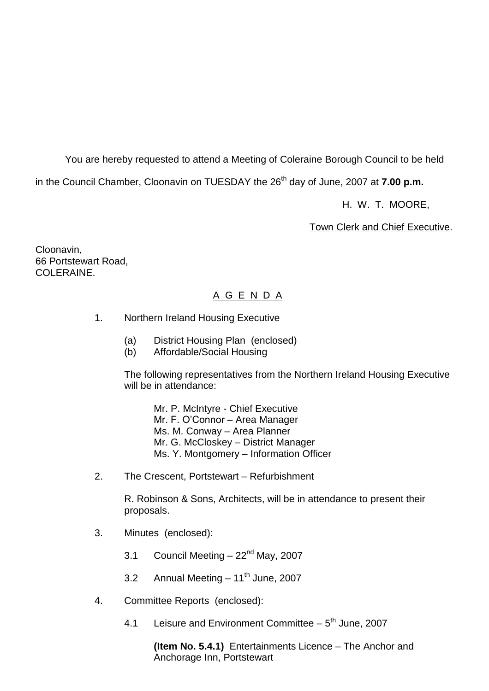You are hereby requested to attend a Meeting of Coleraine Borough Council to be held

in the Council Chamber, Cloonavin on TUESDAY the 26<sup>th</sup> day of June, 2007 at **7.00 p.m.** 

H. W. T. MOORE,

Town Clerk and Chief Executive.

Cloonavin, 66 Portstewart Road, COLERAINE

# A G E N D A

- 1. Northern Ireland Housing Executive
	- (a) District Housing Plan (enclosed)
	- (b) Affordable/Social Housing

The following representatives from the Northern Ireland Housing Executive will be in attendance:

Mr. P. McIntyre - Chief Executive Mr.F.O'Connor–Area Manager Ms. M. Conway - Area Planner Mr. G. McCloskey - District Manager Ms. Y. Montgomery - Information Officer

2. The Crescent, Portstewart – Refurbishment

R. Robinson & Sons, Architects, will be in attendance to present their proposals.

- 3. Minutes (enclosed):
	- 3.1 Council Meeting  $-22<sup>nd</sup>$  May, 2007
	- 3.2 Annual Meeting  $-11^{th}$  June, 2007
- 4. Committee Reports (enclosed):
	- 4.1 Leisure and Environment Committee 5<sup>th</sup> June, 2007

**(Item No. 5.4.1)** Entertainments Licence – The Anchor and Anchorage Inn, Portstewart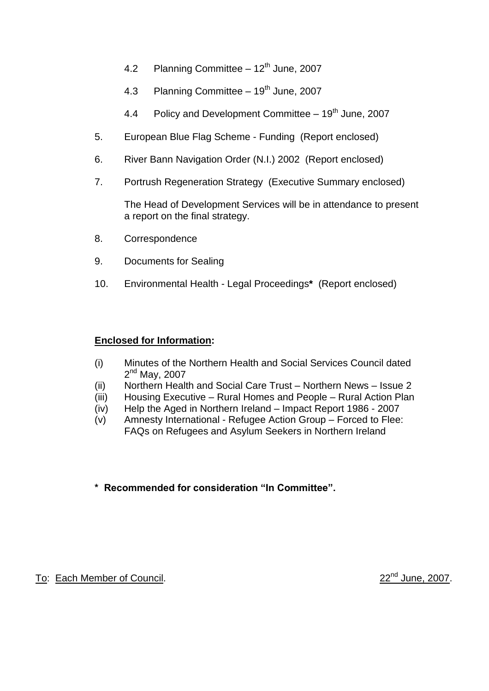- 4.2 Planning Committee  $-12^{th}$  June, 2007
- 4.3 Planning Committee  $-19<sup>th</sup>$  June, 2007
- 4.4 Policy and Development Committee  $-19<sup>th</sup>$  June, 2007
- 5. European Blue Flag Scheme Funding (Report enclosed)
- 6. River Bann Navigation Order (N.I.) 2002 (Report enclosed)
- 7. Portrush Regeneration Strategy (Executive Summary enclosed)

The Head of Development Services will be in attendance to present a report on the final strategy.

- 8. Correspondence
- 9. Documents for Sealing
- 10. Environmental Health Legal Proceedings**\*** (Report enclosed)

### **Enclosed for Information:**

- (i) Minutes of the Northern Health and Social Services Council dated 2<sup>nd</sup> May, 2007
- (ii) Northern Health and Social Care Trust Northern News Issue 2
- (iii) Housing Executive Rural Homes and People Rural Action Plan
- (iv) Help the Aged in Northern Ireland –Impact Report 1986 2007
- (v) Amnesty International Refugee Action Group –Forced to Flee: FAQs on Refugees and Asylum Seekers in Northern Ireland

# \* Recommended for consideration "In Committee".

# To: Each Member of Council. 22<sup>nd</sup> June, 2007.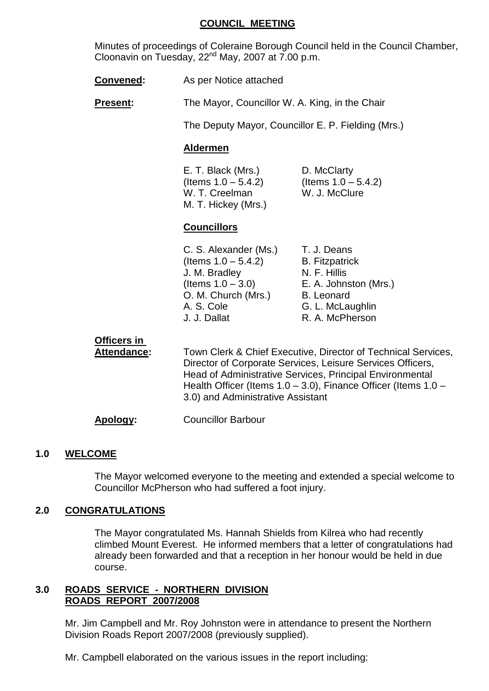#### **COUNCIL MEETING**

Minutes of proceedings of Coleraine Borough Council held in the Council Chamber, Cloonavin on Tuesday,  $22^{nd}$  May, 2007 at  $7.00$  p.m.

**Convened:** As per Notice attached

**Present:** The Mayor, Councillor W. A. King, in the Chair

The Deputy Mayor, Councillor E. P. Fielding (Mrs.)

#### **Aldermen**

E. T. Black (Mrs.) D. McClarty  $($ ltems 1.0 – 5.4.2) (Items 1.0 – 5.4.2) W. T. Creelman W. J. McClure M. T. Hickey (Mrs.)

#### **Councillors**

| C. S. Alexander (Ms.)  | T. J. Deans           |
|------------------------|-----------------------|
| (Items $1.0 - 5.4.2$ ) | <b>B.</b> Fitzpatrick |
| J. M. Bradley          | N. F. Hillis          |
| (Items $1.0 - 3.0$ )   | E. A. Johnston (Mrs.) |
| O. M. Church (Mrs.)    | <b>B.</b> Leonard     |
|                        | G. L. McLaughlin      |
|                        | R. A. McPherson       |
|                        |                       |

**Officers in** Attendance: Town Clerk & Chief Executive, Director of Technical Services, Director of Corporate Services, Leisure Services Officers, Head of Administrative Services, Principal Environmental Health Officer (Items  $1.0 - 3.0$ ), Finance Officer (Items  $1.0 -$ 3.0) and Administrative Assistant

**Apology:** Councillor Barbour

### **1.0 WELCOME**

The Mayor welcomed everyone to the meeting and extended a special welcome to Councillor McPherson who had suffered a foot injury.

### **2.0 CONGRATULATIONS**

The Mayor congratulated Ms. Hannah Shields from Kilrea who had recently climbed Mount Everest. He informed members that a letter of congratulations had already been forwarded and that a reception in her honour would be held in due course.

#### **3.0 ROADS SERVICE - NORTHERN DIVISION ROADS REPORT 2007/2008**

Mr. Jim Campbell and Mr. Roy Johnston were in attendance to present the Northern Division Roads Report 2007/2008 (previously supplied).

Mr. Campbell elaborated on the various issues in the report including: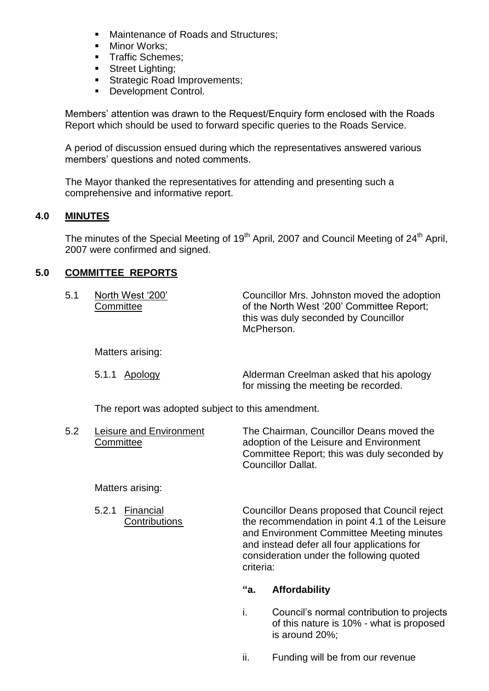- Maintenance of Roads and Structures;
- **Minor Works:**
- **Traffic Schemes:**
- **Street Lighting;**
- Strategic Road Improvements;
- Development Control.

Members' attention was drawn to the Request/Enquiry form enclosed with the Roads Report which should be used to forward specific queries to the Roads Service.

A period of discussion ensued during which the representatives answered various members' questions and noted comments.

The Mayor thanked the representatives for attending and presenting such a comprehensive and informative report.

# **4.0 MINUTES**

The minutes of the Special Meeting of 19<sup>th</sup> April, 2007 and Council Meeting of 24<sup>th</sup> April, 2007 were confirmed and signed.

# **5.0 COMMITTEE REPORTS**

| 5.1 | North West '200'<br>Committee | Councillor Mrs. Johnston moved the adoption<br>of the North West '200' Committee Report;<br>this was duly seconded by Councillor<br>McPherson. |
|-----|-------------------------------|------------------------------------------------------------------------------------------------------------------------------------------------|
|     | Matters arising:              |                                                                                                                                                |

| 5.1.1 <u>Apology</u> | Alderman Creelman asked that his apology |
|----------------------|------------------------------------------|
|                      | for missing the meeting be recorded.     |

The report was adopted subject to this amendment.

5.2 Leisure and Environment The Chairman, Councillor Deans moved the Committee **Committee** adoption of the Leisure and Environment Committee Report; this was duly seconded by Councillor Dallat.

### Matters arising:

5.2.1 Financial Councillor Deans proposed that Council reject Contributions the recommendation in point 4.1 of the Leisure and Environment Committee Meeting minutes and instead defer all four applications for consideration under the following quoted criteria:

### **"a. Affordability**

- i. Council's normal contribution to projects of this nature is 10% - what is proposed is around 20%;
- ii. Funding will be from our revenue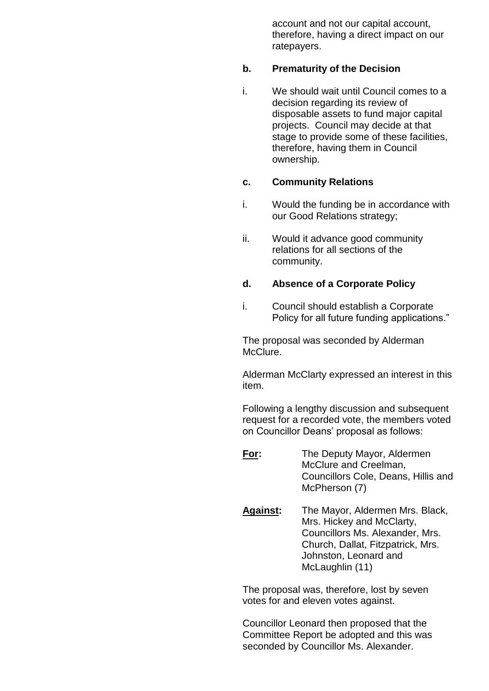account and not our capital account, therefore, having a direct impact on our ratepayers.

#### **b. Prematurity of the Decision**

i. We should wait until Council comes to a decision regarding its review of disposable assets to fund major capital projects. Council may decide at that stage to provide some of these facilities, therefore, having them in Council ownership.

# **c. Community Relations**

- i. Would the funding be in accordance with our Good Relations strategy;
- ii. Would it advance good community relations for all sections of the community.

### **d. Absence of a Corporate Policy**

i. Council should establish a Corporate Policy for all future funding applications."

The proposal was seconded by Alderman McClure.

Alderman McClarty expressed an interest in this item.

Following a lengthy discussion and subsequent request for a recorded vote, the members voted on Councillor Deans' proposal as follows:

- **For:** The Deputy Mayor, Aldermen McClure and Creelman, Councillors Cole, Deans, Hillis and McPherson (7)
- **Against:** The Mayor, Aldermen Mrs. Black, Mrs. Hickey and McClarty, Councillors Ms. Alexander, Mrs. Church, Dallat, Fitzpatrick, Mrs. Johnston, Leonard and McLaughlin (11)

The proposal was, therefore, lost by seven votes for and eleven votes against.

Councillor Leonard then proposed that the Committee Report be adopted and this was seconded by Councillor Ms. Alexander.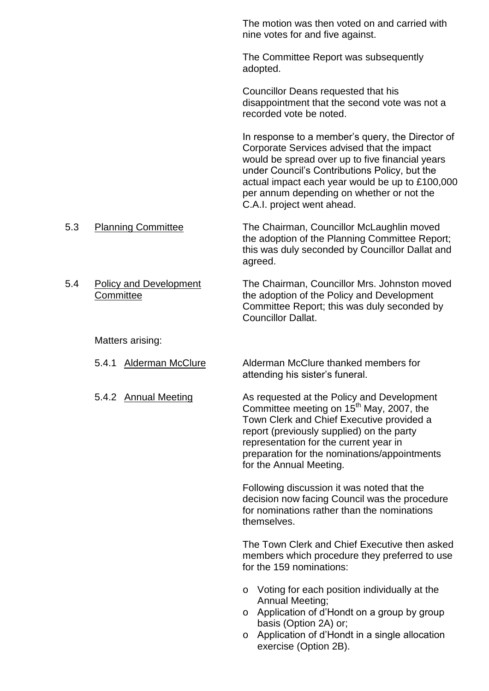The motion was then voted on and carried with nine votes for and five against.

The Committee Report was subsequently adopted.

Councillor Deans requested that his disappointment that the second vote was not a recorded vote be noted.

In response to a member's query, the Director of Corporate Services advised that the impact would be spread over up to five financial years under Council's Contributions Policy, but the actual impact each year would be up to £100,000 per annum depending on whether or not the C.A.I. project went ahead.

- 5.3 Planning Committee The Chairman, Councillor McLaughlin moved the adoption of the Planning Committee Report; this was duly seconded by Councillor Dallat and agreed.
- 5.4 Policy and Development The Chairman, Councillor Mrs. Johnston moved Committee **the adoption of the Policy and Development** Committee Report; this was duly seconded by Councillor Dallat.

Matters arising:

5.4.1 Alderman McClure Alderman McClure thanked members for attending his sister's funeral.

5.4.2 Annual Meeting **As requested at the Policy and Development** Committee meeting on  $15<sup>th</sup>$  May, 2007, the Town Clerk and Chief Executive provided a report (previously supplied) on the party representation for the current year in preparation for the nominations/appointments for the Annual Meeting.

> Following discussion it was noted that the decision now facing Council was the procedure for nominations rather than the nominations themselves.

The Town Clerk and Chief Executive then asked members which procedure they preferred to use for the 159 nominations:

- o Voting for each position individually at the Annual Meeting;
- $\circ$  Application of d'Hondt on a group by group basis (Option 2A) or;
- o Application of d'Hondt in a single allocation exercise (Option 2B).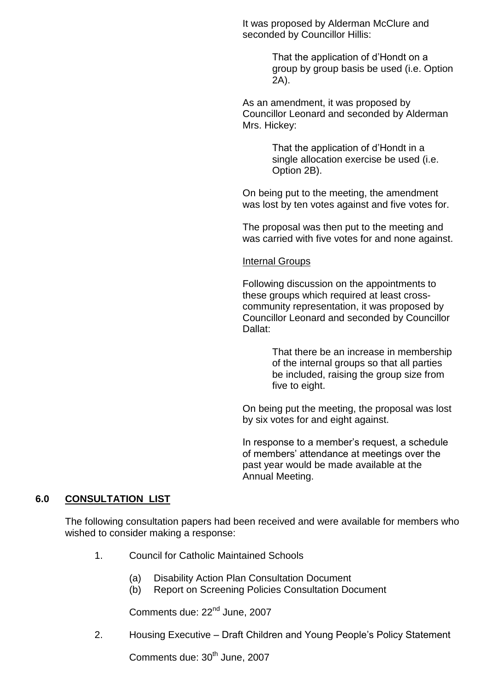It was proposed by Alderman McClure and seconded by Councillor Hillis:

> That the application of d'Hondt on a group by group basis be used (i.e. Option 2A).

As an amendment, it was proposed by Councillor Leonard and seconded by Alderman Mrs. Hickey:

> That the application of d'Hondt in a single allocation exercise be used (i.e. Option 2B).

On being put to the meeting, the amendment was lost by ten votes against and five votes for.

The proposal was then put to the meeting and was carried with five votes for and none against.

Internal Groups

Following discussion on the appointments to these groups which required at least crosscommunity representation, it was proposed by Councillor Leonard and seconded by Councillor Dallat:

> That there be an increase in membership of the internal groups so that all parties be included, raising the group size from five to eight.

On being put the meeting, the proposal was lost by six votes for and eight against.

In response to a member's request, a schedule of members' attendance at meetings over the past year would be made available at the Annual Meeting.

# **6.0 CONSULTATION LIST**

The following consultation papers had been received and were available for members who wished to consider making a response:

- 1. Council for Catholic Maintained Schools
	- (a) Disability Action Plan Consultation Document
	- (b) Report on Screening Policies Consultation Document

Comments due: 22<sup>nd</sup> June, 2007

2. Housing Executive – Draft Children and Young People's Policy Statement

Comments due: 30<sup>th</sup> June, 2007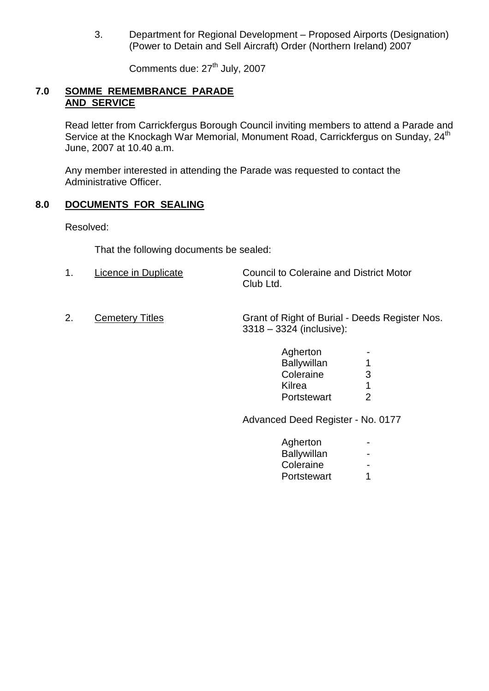3. Department for Regional Development – Proposed Airports (Designation) (Power to Detain and Sell Aircraft) Order (Northern Ireland) 2007

Comments due: 27<sup>th</sup> July, 2007

### **7.0 SOMME REMEMBRANCE PARADE AND SERVICE**

Read letter from Carrickfergus Borough Council inviting members to attend a Parade and Service at the Knockagh War Memorial, Monument Road, Carrickfergus on Sunday, 24<sup>th</sup> June, 2007 at 10.40 a.m.

Any member interested in attending the Parade was requested to contact the Administrative Officer.

### **8.0 DOCUMENTS FOR SEALING**

Resolved:

That the following documents be sealed:

- 1. Licence in Duplicate Council to Coleraine and District Motor Club Ltd.
- 

2. Cemetery Titles Grant of Right of Burial - Deeds Register Nos. 3318 –3324 (inclusive):

| Agherton    |   |
|-------------|---|
| Ballywillan | 1 |
| Coleraine   | З |
| Kilrea      | 1 |
| Portstewart | 2 |

Advanced Deed Register - No. 0177

| Agherton           |   |
|--------------------|---|
| <b>Ballywillan</b> |   |
| Coleraine          |   |
| Portstewart        | 1 |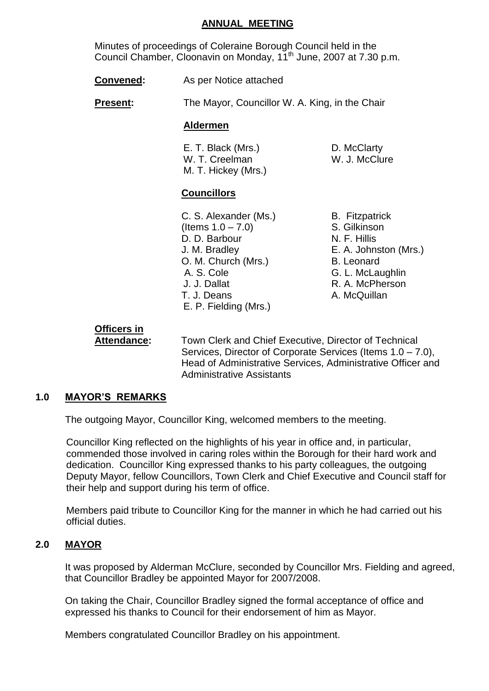#### **ANNUAL MEETING**

Minutes of proceedings of Coleraine Borough Council held in the Council Chamber, Cloonavin on Monday, 11<sup>th</sup> June, 2007 at 7.30 p.m.

**Convened:** As per Notice attached

**Present:** The Mayor, Councillor W. A. King, in the Chair

#### **Aldermen**

E. T. Black (Mrs.) D. McClarty<br>
W. T. Creelman M. J. McClure W. T. Creelman M. T. Hickey (Mrs.)

# **Councillors**

- C. S. Alexander (Ms.) B. Fitzpatrick (Items 1.0 –7.0) S. Gilkinson D. D. Barbour N. F. Hillis J. M. Bradley E. A. Johnston (Mrs.) O. M. Church (Mrs.) B. Leonard A. S. Cole G. L. McLaughlin J. J. Dallat R. A. McPherson T. J. Deans A. McQuillan E. P. Fielding (Mrs.)
- 

# **Officers in**

**Attendance:** Town Clerk and Chief Executive, Director of Technical Services, Director of Corporate Services (Items 1.0 –7.0), Head of Administrative Services, Administrative Officer and Administrative Assistants

# **1.0 MAYOR'S REMARKS**

The outgoing Mayor, Councillor King, welcomed members to the meeting.

Councillor King reflected on the highlights of his year in office and, in particular, commended those involved in caring roles within the Borough for their hard work and dedication. Councillor King expressed thanks to his party colleagues, the outgoing Deputy Mayor, fellow Councillors, Town Clerk and Chief Executive and Council staff for their help and support during his term of office.

Members paid tribute to Councillor King for the manner in which he had carried out his official duties.

# **2.0 MAYOR**

It was proposed by Alderman McClure, seconded by Councillor Mrs. Fielding and agreed, that Councillor Bradley be appointed Mayor for 2007/2008.

On taking the Chair, Councillor Bradley signed the formal acceptance of office and expressed his thanks to Council for their endorsement of him as Mayor.

Members congratulated Councillor Bradley on his appointment.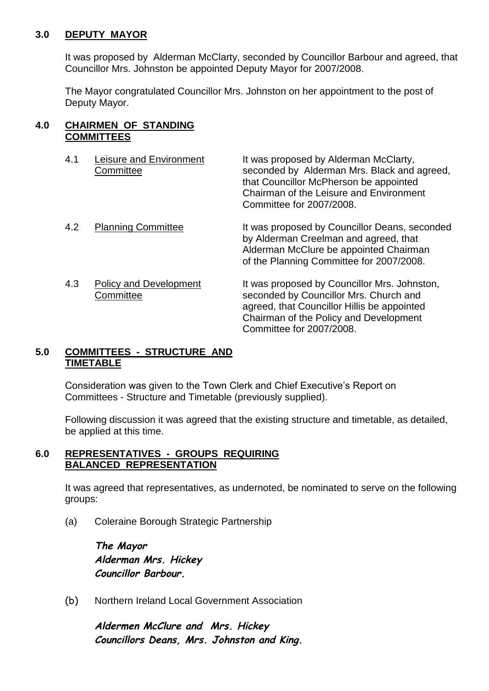### **3.0 DEPUTY MAYOR**

It was proposed by Alderman McClarty, seconded by Councillor Barbour and agreed, that Councillor Mrs. Johnston be appointed Deputy Mayor for 2007/2008.

The Mayor congratulated Councillor Mrs. Johnston on her appointment to the post of Deputy Mayor.

### **4.0 CHAIRMEN OF STANDING COMMITTEES**

| 4.1 | <b>Leisure and Environment</b><br>Committee | It was proposed by Alderman McClarty,<br>seconded by Alderman Mrs. Black and agreed,<br>that Councillor McPherson be appointed<br>Chairman of the Leisure and Environment<br>Committee for 2007/2008.      |
|-----|---------------------------------------------|------------------------------------------------------------------------------------------------------------------------------------------------------------------------------------------------------------|
| 4.2 | <b>Planning Committee</b>                   | It was proposed by Councillor Deans, seconded<br>by Alderman Creelman and agreed, that<br>Alderman McClure be appointed Chairman<br>of the Planning Committee for 2007/2008.                               |
| 4.3 | <b>Policy and Development</b><br>Committee  | It was proposed by Councillor Mrs. Johnston,<br>seconded by Councillor Mrs. Church and<br>agreed, that Councillor Hillis be appointed<br>Chairman of the Policy and Development<br>Committee for 2007/2008 |

# **5.0 COMMITTEES - STRUCTURE AND TIMETABLE**

Consideration was given to the Town Clerk and Chief Executive's Report on Committees - Structure and Timetable (previously supplied).

Following discussion it was agreed that the existing structure and timetable, as detailed, be applied at this time.

#### **6.0 REPRESENTATIVES - GROUPS REQUIRING BALANCED REPRESENTATION**

It was agreed that representatives, as undernoted, be nominated to serve on the following groups:

(a) Coleraine Borough Strategic Partnership

*The Mayor Alderman Mrs. Hickey Councillor Barbour.*

(b) Northern Ireland Local Government Association

*Aldermen McClure and Mrs. Hickey Councillors Deans, Mrs. Johnston and King.*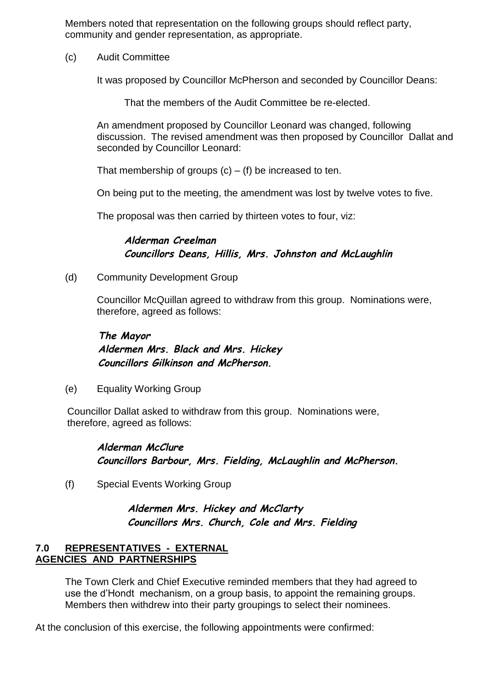Members noted that representation on the following groups should reflect party, community and gender representation, as appropriate.

(c) Audit Committee

It was proposed by Councillor McPherson and seconded by Councillor Deans:

That the members of the Audit Committee be re-elected.

An amendment proposed by Councillor Leonard was changed, following discussion. The revised amendment was then proposed by Councillor Dallat and seconded by Councillor Leonard:

That membership of groups  $(c) - (f)$  be increased to ten.

On being put to the meeting, the amendment was lost by twelve votes to five.

The proposal was then carried by thirteen votes to four, viz:

*Alderman Creelman Councillors Deans, Hillis, Mrs. Johnston and McLaughlin*

(d) Community Development Group

Councillor McQuillan agreed to withdraw from this group. Nominations were, therefore, agreed as follows:

*The Mayor Aldermen Mrs. Black and Mrs. Hickey Councillors Gilkinson and McPherson.*

(e) Equality Working Group

Councillor Dallat asked to withdraw from this group. Nominations were, therefore, agreed as follows:

*Alderman McClure Councillors Barbour, Mrs. Fielding, McLaughlin and McPherson.*

(f) Special Events Working Group

*Aldermen Mrs. Hickey and McClarty Councillors Mrs. Church, Cole and Mrs. Fielding*

# **7.0 REPRESENTATIVES - EXTERNAL AGENCIES AND PARTNERSHIPS**

The Town Clerk and Chief Executive reminded members that they had agreed to use the d'Hondt mechanism, on a group basis, to appoint the remaining groups. Members then withdrew into their party groupings to select their nominees.

At the conclusion of this exercise, the following appointments were confirmed: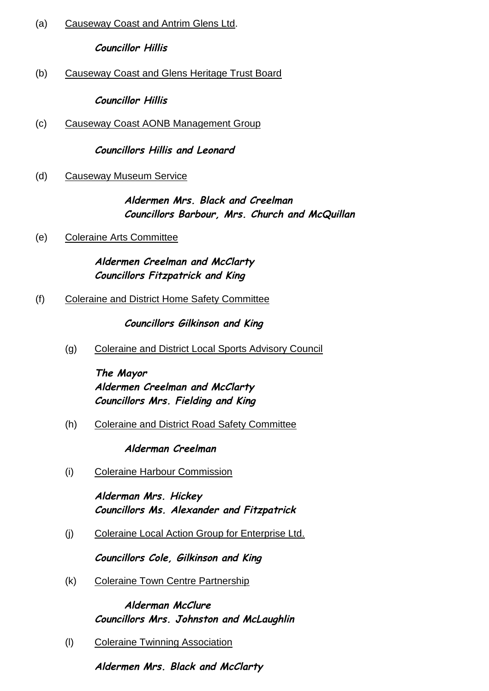(a) Causeway Coast and Antrim Glens Ltd.

*Councillor Hillis*

(b) Causeway Coast and Glens Heritage Trust Board

*Councillor Hillis*

(c) Causeway Coast AONB Management Group

*Councillors Hillis and Leonard*

(d) Causeway Museum Service

*Aldermen Mrs. Black and Creelman Councillors Barbour, Mrs. Church and McQuillan*

(e) Coleraine Arts Committee

*Aldermen Creelman and McClarty Councillors Fitzpatrick and King*

(f) Coleraine and District Home Safety Committee

*Councillors Gilkinson and King*

(g) Coleraine and District Local Sports Advisory Council

*The Mayor Aldermen Creelman and McClarty Councillors Mrs. Fielding and King*

(h) Coleraine and District Road Safety Committee

*Alderman Creelman*

(i) Coleraine Harbour Commission

*Alderman Mrs. Hickey Councillors Ms. Alexander and Fitzpatrick*

(j) Coleraine Local Action Group for Enterprise Ltd.

*Councillors Cole, Gilkinson and King*

(k) Coleraine Town Centre Partnership

*Alderman McClure Councillors Mrs. Johnston and McLaughlin*

(l) Coleraine Twinning Association

*Aldermen Mrs. Black and McClarty*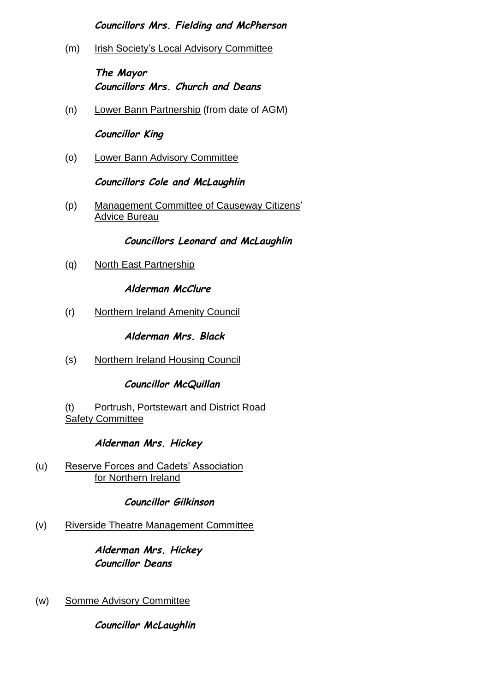# *Councillors Mrs. Fielding and McPherson*

(m) Irish Society's Local Advisory Committee

*The Mayor Councillors Mrs. Church and Deans*

(n) Lower Bann Partnership (from date of AGM)

*Councillor King*

(o) Lower Bann Advisory Committee

*Councillors Cole and McLaughlin*

(p) Management Committee of Causeway Citizens' Advice Bureau

*Councillors Leonard and McLaughlin*

(q) North East Partnership

*Alderman McClure*

(r) Northern Ireland Amenity Council

*Alderman Mrs. Black*

(s) Northern Ireland Housing Council

*Councillor McQuillan*

(t) Portrush, Portstewart and District Road Safety Committee

*Alderman Mrs. Hickey*

(u) Reserve Forces and Cadets' Association for Northern Ireland

*Councillor Gilkinson*

(v) Riverside Theatre Management Committee

*Alderman Mrs. Hickey Councillor Deans*

(w) Somme Advisory Committee

*Councillor McLaughlin*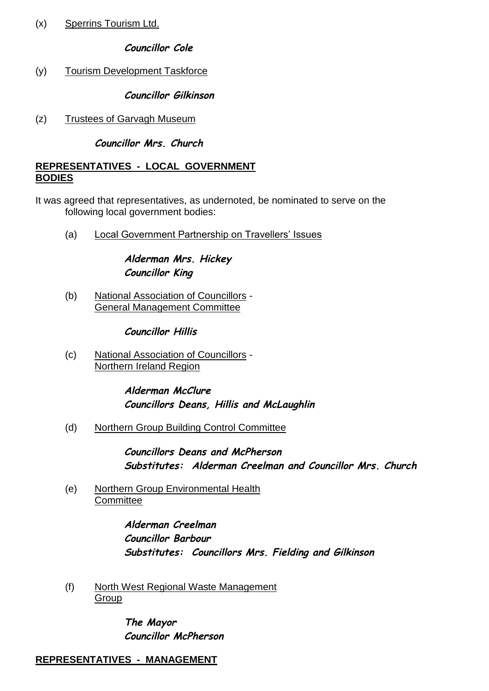(x) Sperrins Tourism Ltd.

# *Councillor Cole*

(y) Tourism Development Taskforce

*Councillor Gilkinson*

(z) Trustees of Garvagh Museum

# *Councillor Mrs. Church*

# **REPRESENTATIVES - LOCAL GOVERNMENT 8.0 BODIES**

- It was agreed that representatives, as undernoted, be nominated to serve on the following local government bodies:
	- (a) Local Government Partnership on Travellers' Issues

*Alderman Mrs. Hickey Councillor King*

(b) National Association of Councillors - General Management Committee

*Councillor Hillis*

(c) National Association of Councillors - Northern Ireland Region

> *Alderman McClure Councillors Deans, Hillis and McLaughlin*

(d) Northern Group Building Control Committee

*Councillors Deans and McPherson Substitutes: Alderman Creelman and Councillor Mrs. Church*

(e) Northern Group Environmental Health **Committee** 

> *Alderman Creelman Councillor Barbour Substitutes: Councillors Mrs. Fielding and Gilkinson*

(f) North West Regional Waste Management **Group** 

> *The Mayor Councillor McPherson*

# **REPRESENTATIVES - MANAGEMENT 9.0**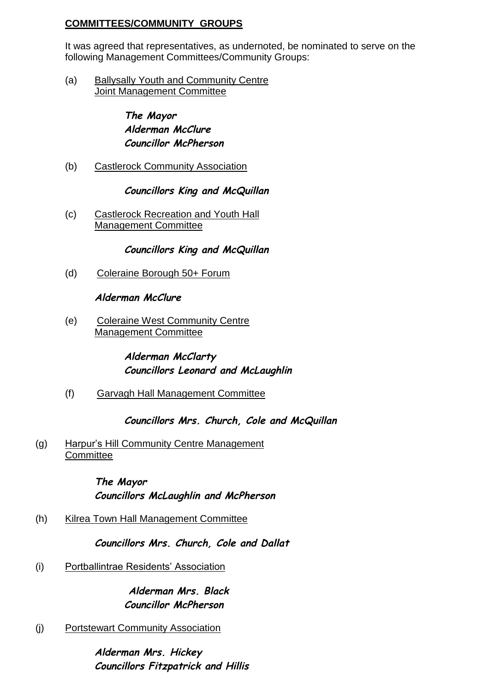# **COMMITTEES/COMMUNITY GROUPS**

It was agreed that representatives, as undernoted, be nominated to serve on the following Management Committees/Community Groups:

(a) Ballysally Youth and Community Centre Joint Management Committee

# *The Mayor Alderman McClure Councillor McPherson*

(b) Castlerock Community Association

# *Councillors King and McQuillan*

(c) Castlerock Recreation and Youth Hall Management Committee

# *Councillors King and McQuillan*

(d) Coleraine Borough 50+ Forum

*Alderman McClure*

(e) Coleraine West Community Centre Management Committee

# *Alderman McClarty Councillors Leonard and McLaughlin*

(f) Garvagh Hall Management Committee

# *Councillors Mrs. Church, Cole and McQuillan*

# (g) Harpur's Hill Community Centre Management **Committee**

*The Mayor Councillors McLaughlin and McPherson*

(h) Kilrea Town Hall Management Committee

*Councillors Mrs. Church, Cole and Dallat*

(i) Portballintrae Residents' Association

*Alderman Mrs. Black Councillor McPherson*

(j) Portstewart Community Association

*Alderman Mrs. Hickey Councillors Fitzpatrick and Hillis*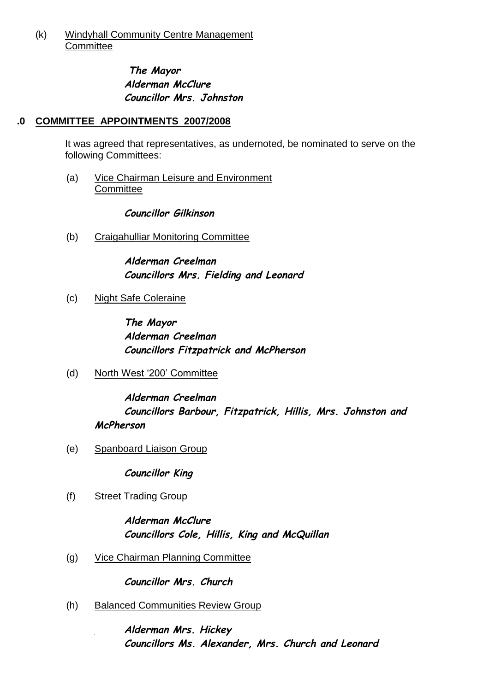### (k) Windyhall Community Centre Management **Committee**

# *The Mayor Alderman McClure Councillor Mrs. Johnston*

# **COMMITTEE APPOINTMENTS 2007/2008 10.0**

It was agreed that representatives, as undernoted, be nominated to serve on the following Committees:

(a) Vice Chairman Leisure and Environment **Committee** 

*Councillor Gilkinson*

(b) Craigahulliar Monitoring Committee

*Alderman Creelman Councillors Mrs. Fielding and Leonard*

(c) Night Safe Coleraine

*The Mayor Alderman Creelman Councillors Fitzpatrick and McPherson*

(d) North West '200' Committee

*Alderman Creelman Councillors Barbour, Fitzpatrick, Hillis, Mrs. Johnston and McPherson*

(e) Spanboard Liaison Group

*Councillor King*

(f) Street Trading Group

*Alderman McClure Councillors Cole, Hillis, King and McQuillan*

(g) Vice Chairman Planning Committee

*Councillor Mrs. Church*

(h) Balanced Communities Review Group

*Alderman Mrs. Hickey Councillors Ms. Alexander, Mrs. Church and Leonard*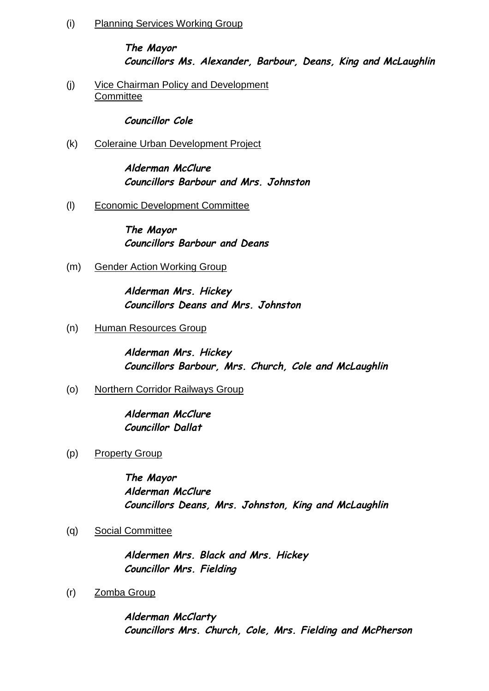(i) Planning Services Working Group

# *The Mayor Councillors Ms. Alexander, Barbour, Deans, King and McLaughlin*

(j) Vice Chairman Policy and Development **Committee** 

*Councillor Cole*

(k) Coleraine Urban Development Project

*Alderman McClure Councillors Barbour and Mrs. Johnston*

(l) Economic Development Committee

*The Mayor Councillors Barbour and Deans*

(m) Gender Action Working Group

*Alderman Mrs. Hickey Councillors Deans and Mrs. Johnston*

(n) Human Resources Group

*Alderman Mrs. Hickey Councillors Barbour, Mrs. Church, Cole and McLaughlin*

(o) Northern Corridor Railways Group

*Alderman McClure Councillor Dallat*

(p) Property Group

*The Mayor Alderman McClure Councillors Deans, Mrs. Johnston, King and McLaughlin*

(q) Social Committee

*Aldermen Mrs. Black and Mrs. Hickey Councillor Mrs. Fielding*

(r) Zomba Group

*Alderman McClarty Councillors Mrs. Church, Cole, Mrs. Fielding and McPherson*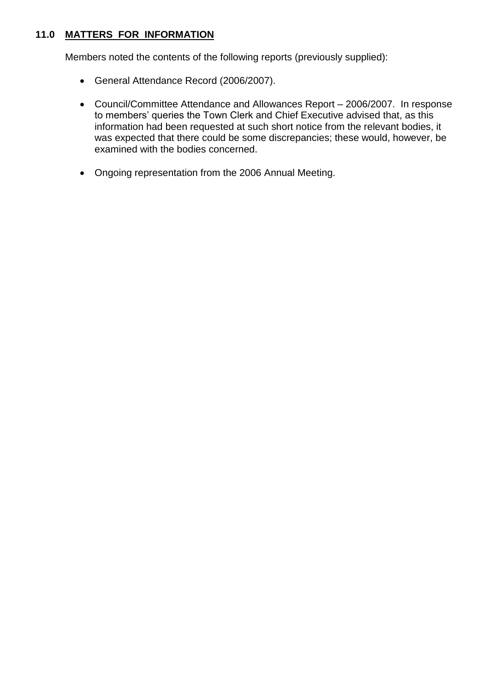# **11.0 MATTERS FOR INFORMATION**

Members noted the contents of the following reports (previously supplied):

- General Attendance Record (2006/2007).
- Council/Committee Attendance and Allowances Report –2006/2007. In response to members' queries the Town Clerk and Chief Executive advised that, as this information had been requested at such short notice from the relevant bodies, it was expected that there could be some discrepancies; these would, however, be examined with the bodies concerned.
- Ongoing representation from the 2006 Annual Meeting.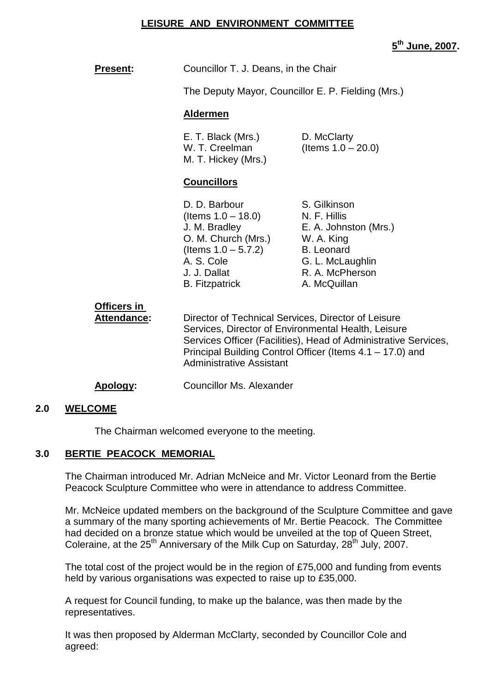### **LEISURE AND ENVIRONMENT COMMITTEE**

**5 th June, 2007.**

| <b>Present:</b>                          | Councillor T. J. Deans, in the Chair                                                                                                                                                                                                                                          |                                                                                                                                 |  |
|------------------------------------------|-------------------------------------------------------------------------------------------------------------------------------------------------------------------------------------------------------------------------------------------------------------------------------|---------------------------------------------------------------------------------------------------------------------------------|--|
|                                          | The Deputy Mayor, Councillor E. P. Fielding (Mrs.)                                                                                                                                                                                                                            |                                                                                                                                 |  |
|                                          | <b>Aldermen</b>                                                                                                                                                                                                                                                               |                                                                                                                                 |  |
|                                          | E. T. Black (Mrs.)<br>W. T. Creelman<br>M. T. Hickey (Mrs.)                                                                                                                                                                                                                   | D. McClarty<br>(Items $1.0 - 20.0$ )                                                                                            |  |
|                                          | <b>Councillors</b>                                                                                                                                                                                                                                                            |                                                                                                                                 |  |
|                                          | D. D. Barbour<br>(Items $1.0 - 18.0$ ) N. F. Hillis<br>J. M. Bradley<br>O. M. Church (Mrs.)<br>(Items $1.0 - 5.7.2$ )<br>A. S. Cole<br>J. J. Dallat<br><b>B.</b> Fitzpatrick                                                                                                  | S. Gilkinson<br>E. A. Johnston (Mrs.)<br>W. A. King<br><b>B.</b> Leonard<br>G. L. McLaughlin<br>R. A. McPherson<br>A. McQuillan |  |
| <b>Officers in</b><br><b>Attendance:</b> | Director of Technical Services, Director of Leisure<br>Services, Director of Environmental Health, Leisure<br>Services Officer (Facilities), Head of Administrative Services,<br>Principal Building Control Officer (Items 4.1 – 17.0) and<br><b>Administrative Assistant</b> |                                                                                                                                 |  |
| Apology:                                 | Councillor Ms. Alexander                                                                                                                                                                                                                                                      |                                                                                                                                 |  |

### **2.0 WELCOME**

The Chairman welcomed everyone to the meeting.

### **3.0 BERTIE PEACOCK MEMORIAL**

The Chairman introduced Mr. Adrian McNeice and Mr. Victor Leonard from the Bertie Peacock Sculpture Committee who were in attendance to address Committee.

Mr. McNeice updated members on the background of the Sculpture Committee and gave a summary of the many sporting achievements of Mr. Bertie Peacock. The Committee had decided on a bronze statue which would be unveiled at the top of Queen Street, Coleraine, at the 25<sup>th</sup> Anniversary of the Milk Cup on Saturday, 28<sup>th</sup> July, 2007.

The total cost of the project would be in the region of £75,000 and funding from events held by various organisations was expected to raise up to £35,000.

A request for Council funding, to make up the balance, was then made by the representatives.

It was then proposed by Alderman McClarty, seconded by Councillor Cole and agreed: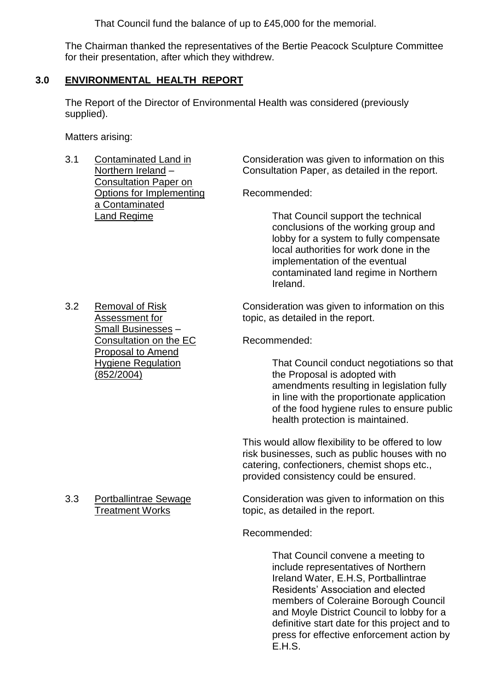That Council fund the balance of up to £45,000 for the memorial.

The Chairman thanked the representatives of the Bertie Peacock Sculpture Committee for their presentation, after which they withdrew.

# **3.0 ENVIRONMENTAL HEALTH REPORT**

The Report of the Director of Environmental Health was considered (previously supplied).

Matters arising:

Consultation Paper on Options for Implementing Recommended: a Contaminated

3.1 Contaminated Land in Consideration was given to information on this Northern Ireland – Consultation Paper, as detailed in the report.

Land Regime That Council support the technical conclusions of the working group and lobby for a system to fully compensate local authorities for work done in the implementation of the eventual contaminated land regime in Northern Ireland.

3.2 Removal of Risk Consideration was given to information on this Assessment for topic, as detailed in the report.

Hygiene Regulation That Council conduct negotiations so that (852/2004) the Proposal is adopted with amendments resulting in legislation fully in line with the proportionate application of the food hygiene rules to ensure public health protection is maintained.

> This would allow flexibility to be offered to low risk businesses, such as public houses with no catering, confectioners, chemist shops etc., provided consistency could be ensured.

3.3 Portballintrae Sewage Consideration was given to information on this Treatment Works topic, as detailed in the report.

Recommended:

That Council convene a meeting to include representatives of Northern Ireland Water, E.H.S, Portballintrae Residents' Association and elected members of Coleraine Borough Council and Moyle District Council to lobby for a definitive start date for this project and to press for effective enforcement action by E.H.S.

Small Businesses – Consultation on the EC Recommended: Proposal to Amend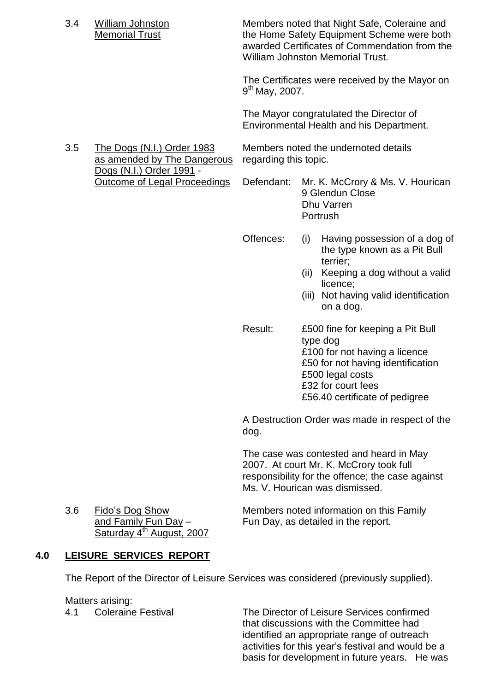Dogs (N.I.) Order 1991 -

3.4 William Johnston Members noted that Night Safe, Coleraine and Memorial Trust the Home Safety Equipment Scheme were both awarded Certificates of Commendation from the William Johnston Memorial Trust.

> The Certificates were received by the Mayor on 9<sup>th</sup> May, 2007.

The Mayor congratulated the Director of Environmental Health and his Department.

3.5 The Dogs (N.I.) Order 1983 Members noted the undernoted details as amended by The Dangerous regarding this topic.

Outcome of Legal Proceedings Defendant: Mr. K. McCrory & Ms. V. Hourican 9 Glendun Close Dhu Varren Portrush

- Offences: (i) Having possession of a dog of the type known as a Pit Bull terrier;
	- (ii) Keeping a dog without a valid licence;
	- (iii) Not having valid identification on a dog.
- Result: £500 fine for keeping a Pit Bull type dog £100 for not having a licence £50 for not having identification £500 legal costs £32 for court fees £56.40 certificate of pedigree

A Destruction Order was made in respect of the dog.

The case was contested and heard in May 2007. At court Mr. K. McCrory took full responsibility for the offence; the case against Ms. V. Hourican was dismissed.

Saturday 4<sup>th</sup> August, 2007

3.6 Fido'sDogShow Members noted information on this Family and Family Fun Day – Fun Day, as detailed in the report.

# **4.0 LEISURE SERVICES REPORT**

The Report of the Director of Leisure Services was considered (previously supplied).

Matters arising:

4.1 Coleraine Festival The Director of Leisure Services confirmed that discussions with the Committee had identified an appropriate range of outreach activities for this year's festival and would be a basis for development in future years. He was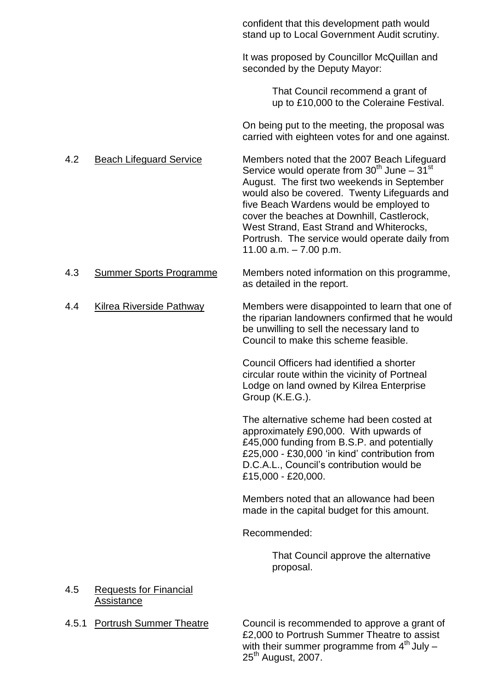|       |                                             | confident that this development path would<br>stand up to Local Government Audit scrutiny.                                                                                                                                                                                                                                                                                                                       |
|-------|---------------------------------------------|------------------------------------------------------------------------------------------------------------------------------------------------------------------------------------------------------------------------------------------------------------------------------------------------------------------------------------------------------------------------------------------------------------------|
|       |                                             | It was proposed by Councillor McQuillan and<br>seconded by the Deputy Mayor:                                                                                                                                                                                                                                                                                                                                     |
|       |                                             | That Council recommend a grant of<br>up to £10,000 to the Coleraine Festival.                                                                                                                                                                                                                                                                                                                                    |
|       |                                             | On being put to the meeting, the proposal was<br>carried with eighteen votes for and one against.                                                                                                                                                                                                                                                                                                                |
| 4.2   | <b>Beach Lifeguard Service</b>              | Members noted that the 2007 Beach Lifeguard<br>Service would operate from $30th$ June – $31st$<br>August. The first two weekends in September<br>would also be covered. Twenty Lifeguards and<br>five Beach Wardens would be employed to<br>cover the beaches at Downhill, Castlerock,<br>West Strand, East Strand and Whiterocks,<br>Portrush. The service would operate daily from<br>11.00 $a.m. - 7.00$ p.m. |
| 4.3   | <b>Summer Sports Programme</b>              | Members noted information on this programme,<br>as detailed in the report.                                                                                                                                                                                                                                                                                                                                       |
| 4.4   | <b>Kilrea Riverside Pathway</b>             | Members were disappointed to learn that one of<br>the riparian landowners confirmed that he would<br>be unwilling to sell the necessary land to<br>Council to make this scheme feasible.                                                                                                                                                                                                                         |
|       |                                             | Council Officers had identified a shorter<br>circular route within the vicinity of Portneal<br>Lodge on land owned by Kilrea Enterprise<br>Group (K.E.G.).                                                                                                                                                                                                                                                       |
|       |                                             | The alternative scheme had been costed at<br>approximately £90,000. With upwards of<br>£45,000 funding from B.S.P. and potentially<br>£25,000 - £30,000 'in kind' contribution from<br>D.C.A.L., Council's contribution would be<br>£15,000 - £20,000.                                                                                                                                                           |
|       |                                             | Members noted that an allowance had been<br>made in the capital budget for this amount.                                                                                                                                                                                                                                                                                                                          |
|       |                                             | Recommended:                                                                                                                                                                                                                                                                                                                                                                                                     |
|       |                                             | That Council approve the alternative<br>proposal.                                                                                                                                                                                                                                                                                                                                                                |
| 4.5   | <b>Requests for Financial</b><br>Assistance |                                                                                                                                                                                                                                                                                                                                                                                                                  |
| 4.5.1 | <b>Portrush Summer Theatre</b>              | Council is recommended to approve a grant of                                                                                                                                                                                                                                                                                                                                                                     |

£2,000 to Portrush Summer Theatre to assist with their summer programme from  $4^{\text{th}}$  July  $-$ 25<sup>th</sup> August, 2007.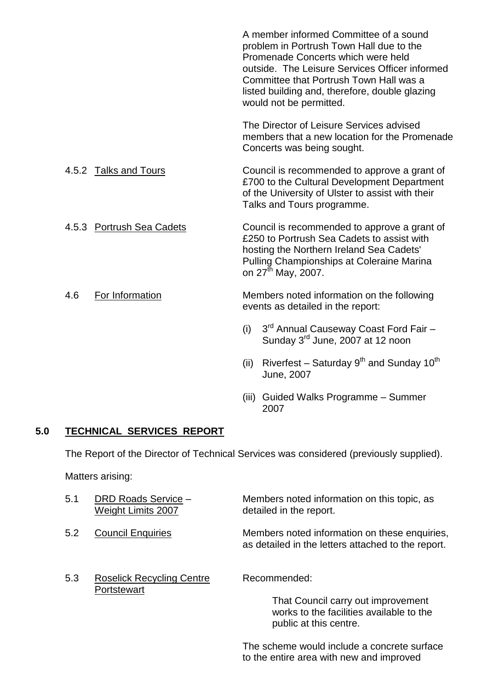|                           | A member informed Committee of a sound<br>problem in Portrush Town Hall due to the<br>Promenade Concerts which were held<br>outside. The Leisure Services Officer informed<br>Committee that Portrush Town Hall was a<br>listed building and, therefore, double glazing<br>would not be permitted. |  |
|---------------------------|----------------------------------------------------------------------------------------------------------------------------------------------------------------------------------------------------------------------------------------------------------------------------------------------------|--|
|                           | The Director of Leisure Services advised<br>members that a new location for the Promenade<br>Concerts was being sought.                                                                                                                                                                            |  |
| 4.5.2 Talks and Tours     | Council is recommended to approve a grant of<br>£700 to the Cultural Development Department<br>of the University of Ulster to assist with their<br>Talks and Tours programme.                                                                                                                      |  |
| 4.5.3 Portrush Sea Cadets | Council is recommended to approve a grant of<br>£250 to Portrush Sea Cadets to assist with<br>hosting the Northern Ireland Sea Cadets'<br>Pulling Championships at Coleraine Marina<br>on 27 <sup>th</sup> May, 2007.                                                                              |  |
| For Information<br>4.6    | Members noted information on the following<br>events as detailed in the report:                                                                                                                                                                                                                    |  |
|                           | 3 <sup>rd</sup> Annual Causeway Coast Ford Fair -<br>(i)<br>Sunday 3 <sup>rd</sup> June, 2007 at 12 noon                                                                                                                                                                                           |  |
|                           | Riverfest – Saturday $9^{th}$ and Sunday 10 <sup>th</sup><br>(ii)<br>June, 2007                                                                                                                                                                                                                    |  |
|                           |                                                                                                                                                                                                                                                                                                    |  |

(iii) Guided Walks Programme - Summer 2007

# **5.0 TECHNICAL SERVICES REPORT**

The Report of the Director of Technical Services was considered (previously supplied).

Matters arising:

| 5.1 | DRD Roads Service -<br><b>Weight Limits 2007</b> | Members noted information on this topic, as<br>detailed in the report.                                                   |
|-----|--------------------------------------------------|--------------------------------------------------------------------------------------------------------------------------|
| 5.2 | <b>Council Enquiries</b>                         | Members noted information on these enquiries,<br>as detailed in the letters attached to the report.                      |
| 5.3 | <b>Roselick Recycling Centre</b><br>Portstewart  | Recommended:<br>That Council carry out improvement<br>works to the facilities available to the<br>public at this centre. |

The scheme would include a concrete surface to the entire area with new and improved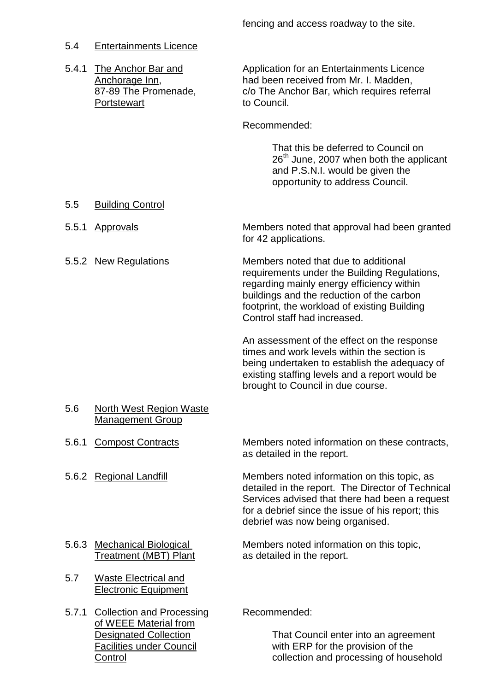# 5.4 Entertainments Licence

| 5.4.1 | The Anchor Bar and<br>Anchorage Inn,<br>87-89 The Promenade,<br>Portstewart               | Application for an Entertainments Licence<br>had been received from Mr. I. Madden,<br>c/o The Anchor Bar, which requires referral<br>to Council.                                                                                                               |  |
|-------|-------------------------------------------------------------------------------------------|----------------------------------------------------------------------------------------------------------------------------------------------------------------------------------------------------------------------------------------------------------------|--|
|       |                                                                                           | Recommended:                                                                                                                                                                                                                                                   |  |
|       |                                                                                           | That this be deferred to Council on<br>26 <sup>th</sup> June, 2007 when both the applicant<br>and P.S.N.I. would be given the<br>opportunity to address Council.                                                                                               |  |
| 5.5   | <b>Building Control</b>                                                                   |                                                                                                                                                                                                                                                                |  |
| 5.5.1 | <b>Approvals</b>                                                                          | Members noted that approval had been granted<br>for 42 applications.                                                                                                                                                                                           |  |
|       | 5.5.2 New Regulations                                                                     | Members noted that due to additional<br>requirements under the Building Regulations,<br>regarding mainly energy efficiency within<br>buildings and the reduction of the carbon<br>footprint, the workload of existing Building<br>Control staff had increased. |  |
|       |                                                                                           | An assessment of the effect on the response<br>times and work levels within the section is<br>being undertaken to establish the adequacy of<br>existing staffing levels and a report would be<br>brought to Council in due course.                             |  |
| 5.6   | <b>North West Region Waste</b><br><b>Management Group</b>                                 |                                                                                                                                                                                                                                                                |  |
|       | 5.6.1 Compost Contracts                                                                   | Members noted information on these contracts,<br>as detailed in the report.                                                                                                                                                                                    |  |
|       | 5.6.2 Regional Landfill                                                                   | Members noted information on this topic, as<br>detailed in the report. The Director of Technical<br>Services advised that there had been a request<br>for a debrief since the issue of his report; this<br>debrief was now being organised.                    |  |
|       | 5.6.3 Mechanical Biological<br><b>Treatment (MBT) Plant</b>                               | Members noted information on this topic,<br>as detailed in the report.                                                                                                                                                                                         |  |
| 5.7   | <b>Waste Electrical and</b><br><b>Electronic Equipment</b>                                |                                                                                                                                                                                                                                                                |  |
| 5.7.1 | <b>Collection and Processing</b><br>of WEEE Material from<br><b>Designated Collection</b> | Recommended:<br>That Council enter into an agreement                                                                                                                                                                                                           |  |

Facilities under Council **EXP** with ERP for the provision of the Control **Control** collection and processing of household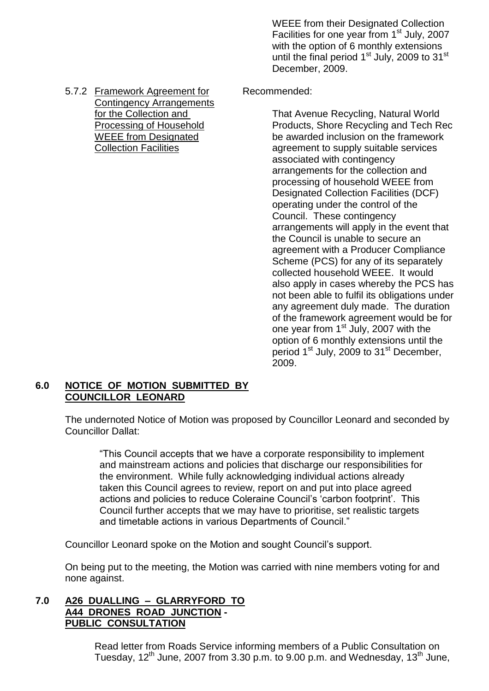- WEEE from their Designated Collection Facilities for one year from 1<sup>st</sup> July, 2007 with the option of 6 monthly extensions until the final period  $1<sup>st</sup>$  July, 2009 to  $31<sup>st</sup>$ December, 2009.
- 

for the Collection and That Avenue Recycling, Natural World Processing of Household Products, Shore Recycling and Tech Rec WEEE from Designated be awarded inclusion on the framework Collection Facilities **Collection Facilities** agreement to supply suitable services associated with contingency arrangements for the collection and processing of household WEEE from Designated Collection Facilities (DCF) operating under the control of the Council. These contingency arrangements will apply in the event that the Council is unable to secure an agreement with a Producer Compliance Scheme (PCS) for any of its separately collected household WEEE. It would also apply in cases whereby the PCS has not been able to fulfil its obligations under any agreement duly made. The duration of the framework agreement would be for one year from  $1<sup>st</sup>$  July, 2007 with the option of 6 monthly extensions until the period 1<sup>st</sup> July, 2009 to 31<sup>st</sup> December, 2009.

# **6.0 NOTICE OF MOTION SUBMITTED BY COUNCILLOR LEONARD**

The undernoted Notice of Motion was proposed by Councillor Leonard and seconded by Councillor Dallat:

"This Council accepts that we have a corporate responsibility to implement and mainstream actions and policies that discharge our responsibilities for the environment. While fully acknowledging individual actions already taken this Council agrees to review, report on and put into place agreed actions and policies to reduce Coleraine Council's 'carbon footprint'. This Council further accepts that we may have to prioritise, set realistic targets and timetable actions in various Departments of Council."

Councillor Leonard spoke on the Motion and sought Council's support.

On being put to the meeting, the Motion was carried with nine members voting for and none against.

# **7.0 A26 DUALLING –GLARRYFORD TO A44 DRONES ROAD JUNCTION - PUBLIC CONSULTATION**

Read letter from Roads Service informing members of a Public Consultation on Tuesday,  $12^{th}$  June, 2007 from 3.30 p.m. to 9.00 p.m. and Wednesday,  $13^{th}$  June,

5.7.2 Framework Agreement for Recommended: Contingency Arrangements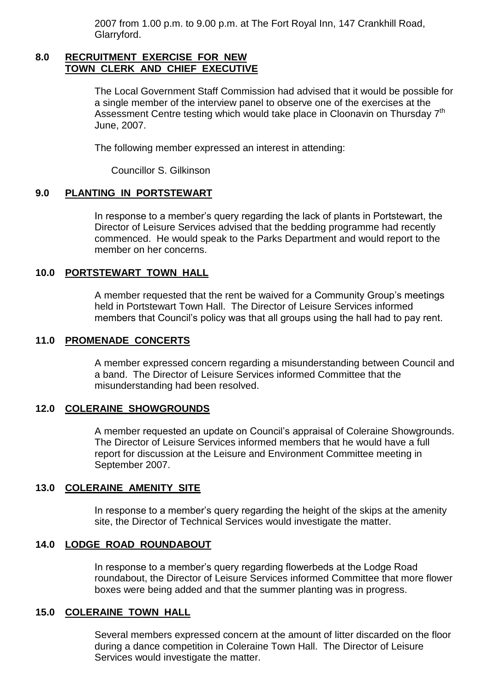2007 from 1.00 p.m. to 9.00 p.m. at The Fort Royal Inn, 147 Crankhill Road, Glarryford.

#### **8.0 RECRUITMENT EXERCISE FOR NEW TOWN CLERK AND CHIEF EXECUTIVE**

The Local Government Staff Commission had advised that it would be possible for a single member of the interview panel to observe one of the exercises at the Assessment Centre testing which would take place in Cloonavin on Thursday 7<sup>th</sup> June, 2007.

The following member expressed an interest in attending:

Councillor S. Gilkinson

### **9.0 PLANTING IN PORTSTEWART**

In response to a member's query regarding the lack of plants in Portstewart, the Director of Leisure Services advised that the bedding programme had recently commenced. He would speak to the Parks Department and would report to the member on her concerns.

#### **10.0 PORTSTEWART TOWN HALL**

A member requested that the rent be waived for a Community Group's meetings held in Portstewart Town Hall. The Director of Leisure Services informed members that Council's policy was that all groups using the hall had to pay rent.

#### **11.0 PROMENADE CONCERTS**

A member expressed concern regarding a misunderstanding between Council and a band. The Director of Leisure Services informed Committee that the misunderstanding had been resolved.

#### **12.0 COLERAINE SHOWGROUNDS**

A member requested an update on Council's appraisal of Coleraine Showgrounds. The Director of Leisure Services informed members that he would have a full report for discussion at the Leisure and Environment Committee meeting in September 2007.

#### **13.0 COLERAINE AMENITY SITE**

In response to a member's query regarding the height of the skips at the amenity site, the Director of Technical Services would investigate the matter.

#### **14.0 LODGE ROAD ROUNDABOUT**

In response to a member's query regarding flowerbeds at the Lodge Road roundabout, the Director of Leisure Services informed Committee that more flower boxes were being added and that the summer planting was in progress.

#### **15.0 COLERAINE TOWN HALL**

Several members expressed concern at the amount of litter discarded on the floor during a dance competition in Coleraine Town Hall. The Director of Leisure Services would investigate the matter.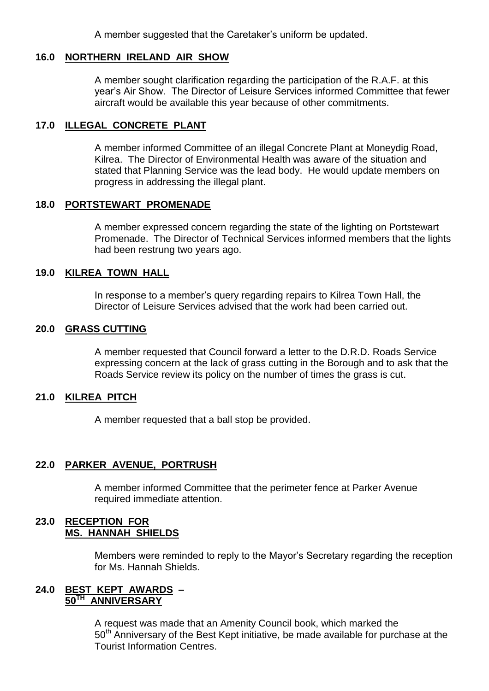A member suggested that the Caretaker's uniform be updated.

### **16.0 NORTHERN IRELAND AIR SHOW**

A member sought clarification regarding the participation of the R.A.F. at this year's Air Show. The Director of Leisure Services informed Committee that fewer aircraft would be available this year because of other commitments.

# **17.0 ILLEGAL CONCRETE PLANT**

A member informed Committee of an illegal Concrete Plant at Moneydig Road, Kilrea. The Director of Environmental Health was aware of the situation and stated that Planning Service was the lead body. He would update members on progress in addressing the illegal plant.

### **18.0 PORTSTEWART PROMENADE**

A member expressed concern regarding the state of the lighting on Portstewart Promenade. The Director of Technical Services informed members that the lights had been restrung two years ago.

### **19.0 KILREA TOWN HALL**

In response to a member's query regarding repairs to Kilrea Town Hall, the Director of Leisure Services advised that the work had been carried out.

### **20.0 GRASS CUTTING**

A member requested that Council forward a letter to the D.R.D. Roads Service expressing concern at the lack of grass cutting in the Borough and to ask that the Roads Service review its policy on the number of times the grass is cut.

### **21.0 KILREA PITCH**

A member requested that a ball stop be provided.

### **22.0 PARKER AVENUE, PORTRUSH**

A member informed Committee that the perimeter fence at Parker Avenue required immediate attention.

### **23.0 RECEPTION FOR MS. HANNAH SHIELDS**

Members were reminded to reply to the Mayor's Secretary regarding the reception for Ms. Hannah Shields.

#### **24.0 BEST KEPT AWARDS – 50TH ANNIVERSARY**

A request was made that an Amenity Council book, which marked the 50<sup>th</sup> Anniversary of the Best Kept initiative, be made available for purchase at the Tourist Information Centres.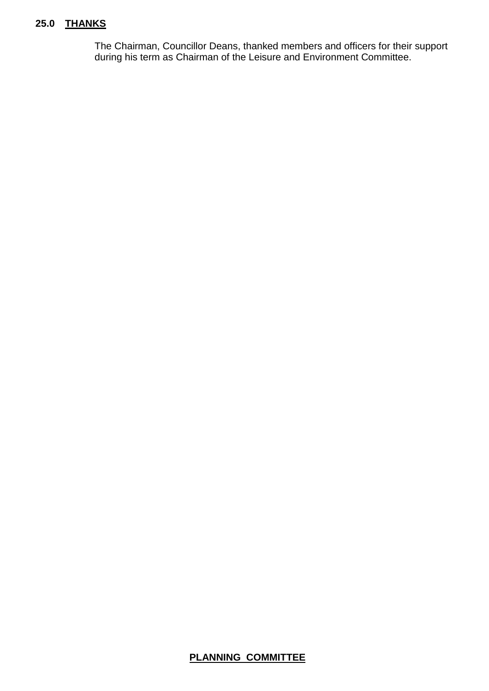# **25.0 THANKS**

The Chairman, Councillor Deans, thanked members and officers for their support during his term as Chairman of the Leisure and Environment Committee.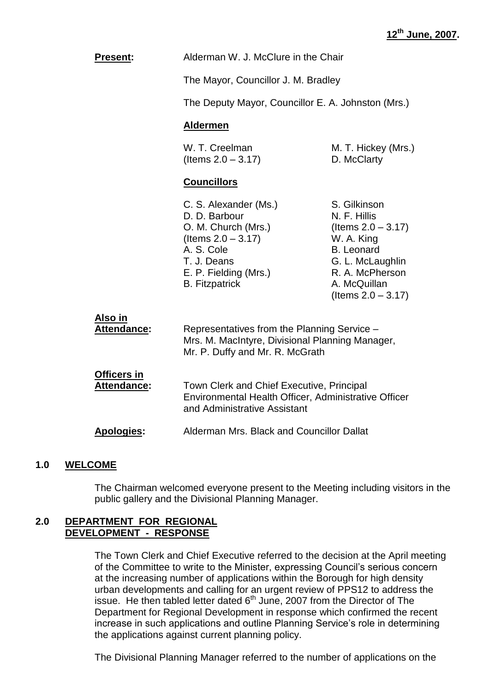| <b>Present:</b>                          | Alderman W. J. McClure in the Chair                                                                                                                                   |                                                                                                                                                                          |  |
|------------------------------------------|-----------------------------------------------------------------------------------------------------------------------------------------------------------------------|--------------------------------------------------------------------------------------------------------------------------------------------------------------------------|--|
|                                          |                                                                                                                                                                       | The Mayor, Councillor J. M. Bradley                                                                                                                                      |  |
|                                          | The Deputy Mayor, Councillor E. A. Johnston (Mrs.)                                                                                                                    |                                                                                                                                                                          |  |
|                                          | <b>Aldermen</b>                                                                                                                                                       |                                                                                                                                                                          |  |
|                                          | W. T. Creelman<br>(Items $2.0 - 3.17$ )                                                                                                                               | M. T. Hickey (Mrs.)<br>D. McClarty                                                                                                                                       |  |
|                                          | <b>Councillors</b>                                                                                                                                                    |                                                                                                                                                                          |  |
|                                          | C. S. Alexander (Ms.)<br>D. D. Barbour<br>O. M. Church (Mrs.)<br>(Items $2.0 - 3.17$ )<br>A. S. Cole<br>T. J. Deans<br>E. P. Fielding (Mrs.)<br><b>B.</b> Fitzpatrick | S. Gilkinson<br>N. F. Hillis<br>(Items $2.0 - 3.17$ )<br>W. A. King<br><b>B.</b> Leonard<br>G. L. McLaughlin<br>R. A. McPherson<br>A. McQuillan<br>(Items $2.0 - 3.17$ ) |  |
| <u>Also in</u><br>Attendance:            | Representatives from the Planning Service -<br>Mrs. M. MacIntyre, Divisional Planning Manager,<br>Mr. P. Duffy and Mr. R. McGrath                                     |                                                                                                                                                                          |  |
| <b>Officers in</b><br><b>Attendance:</b> | Town Clerk and Chief Executive, Principal<br>Environmental Health Officer, Administrative Officer<br>and Administrative Assistant                                     |                                                                                                                                                                          |  |
| <b>Apologies:</b>                        | Alderman Mrs. Black and Councillor Dallat                                                                                                                             |                                                                                                                                                                          |  |

### **1.0 WELCOME**

The Chairman welcomed everyone present to the Meeting including visitors in the public gallery and the Divisional Planning Manager.

#### **2.0 DEPARTMENT FOR REGIONAL DEVELOPMENT - RESPONSE**

The Town Clerk and Chief Executive referred to the decision at the April meeting of the Committee to write to the Minister, expressing Council's serious concern at the increasing number of applications within the Borough for high density urban developments and calling for an urgent review of PPS12 to address the issue. He then tabled letter dated  $6<sup>th</sup>$  June, 2007 from the Director of The Department for Regional Development in response which confirmed the recent increase in such applications and outline Planning Service's role in determining the applications against current planning policy.

The Divisional Planning Manager referred to the number of applications on the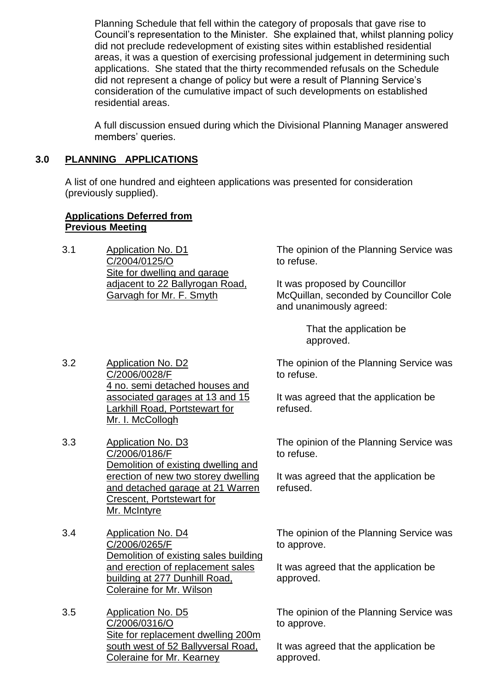Planning Schedule that fell within the category of proposals that gave rise to Council's representation to the Minister. She explained that, whilst planning policy did not preclude redevelopment of existing sites within established residential areas, it was a question of exercising professional judgement in determining such applications. She stated that the thirty recommended refusals on the Schedule did not represent a change of policy but were a result of Planning Service's consideration of the cumulative impact of such developments on established residential areas.

A full discussion ensued during which the Divisional Planning Manager answered members' queries.

# **3.0 PLANNING APPLICATIONS**

A list of one hundred and eighteen applications was presented for consideration (previously supplied).

# **Applications Deferred from Previous Meeting**

3.1 Application No. D1 C/2004/0125/O Site for dwelling and garage adjacent to 22 Ballyrogan Road, Garvagh for Mr. F. Smyth

The opinion of the Planning Service was to refuse.

It was proposed by Councillor McQuillan, seconded by Councillor Cole and unanimously agreed:

> That the application be approved.

The opinion of the Planning Service was to refuse.

It was agreed that the application be refused.

The opinion of the Planning Service was to refuse.

It was agreed that the application be refused.

The opinion of the Planning Service was to approve.

It was agreed that the application be approved.

The opinion of the Planning Service was to approve.

It was agreed that the application be approved.

3.2 Application No. D2 C/2006/0028/F 4 no. semi detached houses and associated garages at 13 and 15 Larkhill Road, Portstewart for Mr. I. McCollogh

- 3.3 Application No. D3 C/2006/0186/F Demolition of existing dwelling and erection of new two storey dwelling and detached garage at 21 Warren Crescent, Portstewart for Mr. McIntyre
- 3.4 Application No. D4 C/2006/0265/F Demolition of existing sales building and erection of replacement sales building at 277 Dunhill Road, Coleraine for Mr. Wilson
- 3.5 Application No. D5 C/2006/0316/O Site for replacement dwelling 200m south west of 52 Ballyversal Road, Coleraine for Mr. Kearney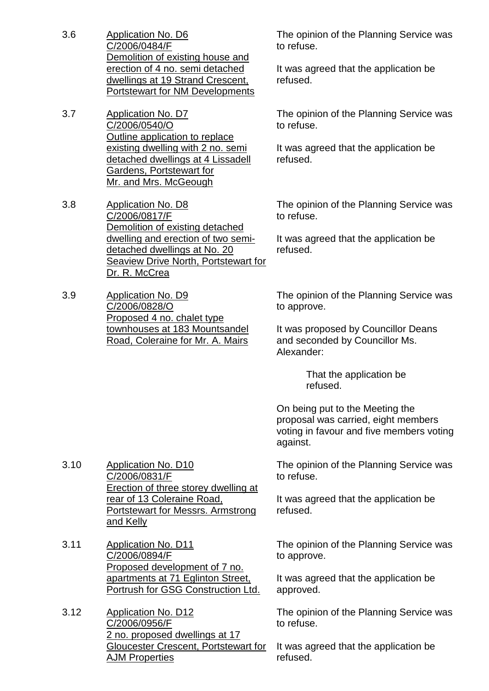- 3.6 Application No. D6 C/2006/0484/F Demolition of existing house and erection of 4 no. semi detached dwellings at 19 Strand Crescent, Portstewart for NM Developments
- 3.7 Application No. D7 C/2006/0540/O Outline application to replace existing dwelling with 2 no. semi detached dwellings at 4 Lissadell Gardens, Portstewart for Mr. and Mrs. McGeough
- 3.8 Application No. D8 C/2006/0817/F Demolition of existing detached dwelling and erection of two semidetached dwellings at No. 20 Seaview Drive North, Portstewart for Dr. R. McCrea
- 3.9 Application No. D9 C/2006/0828/O Proposed 4 no. chalet type townhouses at 183 Mountsandel Road, Coleraine for Mr. A. Mairs

The opinion of the Planning Service was to refuse.

It was agreed that the application be refused.

The opinion of the Planning Service was to refuse.

It was agreed that the application be refused.

The opinion of the Planning Service was to refuse.

It was agreed that the application be refused.

The opinion of the Planning Service was to approve.

It was proposed by Councillor Deans and seconded by Councillor Ms. Alexander:

> That the application be refused.

On being put to the Meeting the proposal was carried, eight members voting in favour and five members voting against.

3.10 Application No. D10 C/2006/0831/F Erection of three storey dwelling at rear of 13 Coleraine Road, Portstewart for Messrs. Armstrong and Kelly

- 3.11 Application No. D11 C/2006/0894/F Proposed development of 7 no. apartments at 71 Eglinton Street, Portrush for GSG Construction Ltd.
- 3.12 Application No. D12 C/2006/0956/F 2 no. proposed dwellings at 17 Gloucester Crescent, Portstewart for AJM Properties

The opinion of the Planning Service was to refuse.

It was agreed that the application be refused.

The opinion of the Planning Service was to approve.

It was agreed that the application be approved.

The opinion of the Planning Service was to refuse.

It was agreed that the application be refused.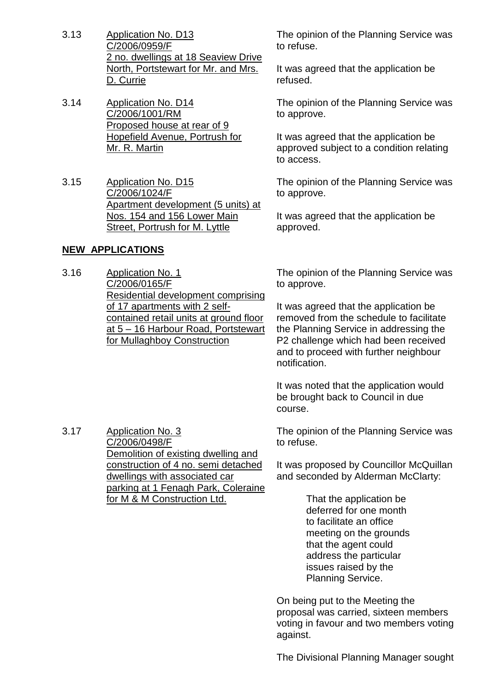- 3.13 Application No. D13 C/2006/0959/F 2 no. dwellings at 18 Seaview Drive North, Portstewart for Mr. and Mrs. D. Currie
- 3.14 Application No. D14 C/2006/1001/RM Proposed house at rear of 9 Hopefield Avenue, Portrush for Mr. R. Martin
- 3.15 Application No. D15 C/2006/1024/F Apartment development (5 units) at Nos. 154 and 156 Lower Main Street, Portrush for M. Lyttle

# **NEW APPLICATIONS**

3.16 Application No. 1 C/2006/0165/F Residential development comprising of 17 apartments with 2 selfcontained retail units at ground floor at 5 –16 Harbour Road, Portstewart for Mullaghboy Construction

The opinion of the Planning Service was to refuse.

It was agreed that the application be refused.

The opinion of the Planning Service was to approve.

It was agreed that the application be approved subject to a condition relating to access.

The opinion of the Planning Service was to approve.

It was agreed that the application be approved.

The opinion of the Planning Service was to approve.

It was agreed that the application be removed from the schedule to facilitate the Planning Service in addressing the P2 challenge which had been received and to proceed with further neighbour notification.

It was noted that the application would be brought back to Council in due course.

The opinion of the Planning Service was to refuse.

It was proposed by Councillor McQuillan and seconded by Alderman McClarty:

> That the application be deferred for one month to facilitate an office meeting on the grounds that the agent could address the particular issues raised by the Planning Service.

On being put to the Meeting the proposal was carried, sixteen members voting in favour and two members voting against.

The Divisional Planning Manager sought

3.17 Application No. 3 C/2006/0498/F Demolition of existing dwelling and construction of 4 no. semi detached dwellings with associated car parking at 1 Fenagh Park, Coleraine for M & M Construction Ltd.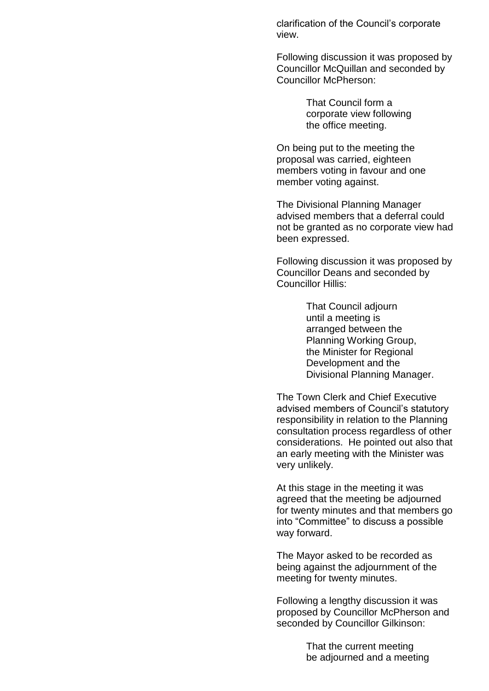clarification of the Council's corporate view.

Following discussion it was proposed by Councillor McQuillan and seconded by Councillor McPherson:

> That Council form a corporate view following the office meeting.

On being put to the meeting the proposal was carried, eighteen members voting in favour and one member voting against.

The Divisional Planning Manager advised members that a deferral could not be granted as no corporate view had been expressed.

Following discussion it was proposed by Councillor Deans and seconded by Councillor Hillis:

> That Council adjourn until a meeting is arranged between the Planning Working Group, the Minister for Regional Development and the Divisional Planning Manager.

The Town Clerk and Chief Executive advised members of Council's statutory responsibility in relation to the Planning consultation process regardless of other considerations. He pointed out also that an early meeting with the Minister was very unlikely.

At this stage in the meeting it was agreed that the meeting be adjourned for twenty minutes and that members go into "Committee" to discuss a possible way forward.

The Mayor asked to be recorded as being against the adjournment of the meeting for twenty minutes.

Following a lengthy discussion it was proposed by Councillor McPherson and seconded by Councillor Gilkinson:

> That the current meeting be adjourned and a meeting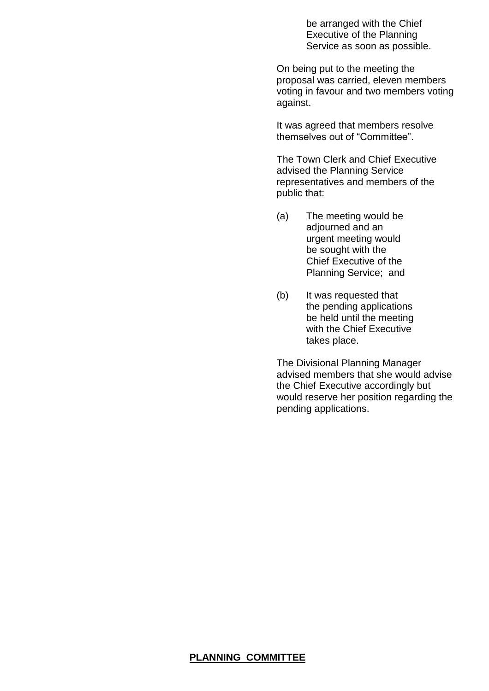be arranged with the Chief Executive of the Planning Service as soon as possible.

On being put to the meeting the proposal was carried, eleven members voting in favour and two members voting against.

It was agreed that members resolve themselves out of "Committee".

The Town Clerk and Chief Executive advised the Planning Service representatives and members of the public that:

- (a) The meeting would be adjourned and an urgent meeting would be sought with the Chief Executive of the Planning Service; and
- (b) It was requested that the pending applications be held until the meeting with the Chief Executive takes place.

The Divisional Planning Manager advised members that she would advise the Chief Executive accordingly but would reserve her position regarding the pending applications.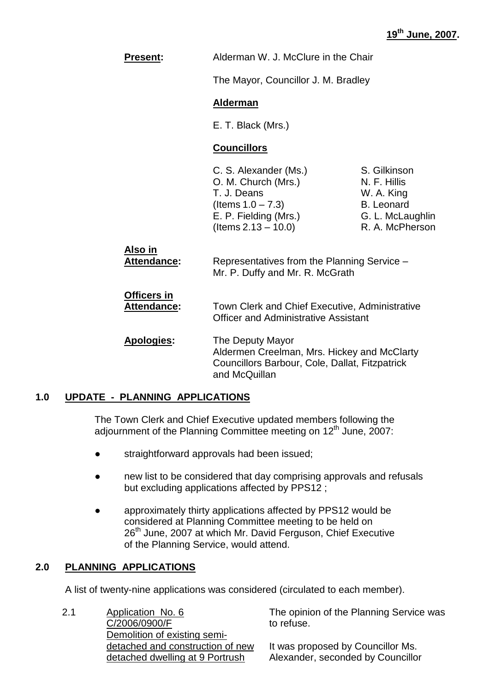| <b>Present:</b>                          |                                                                                                                                          | Alderman W. J. McClure in the Chair                                                                    |  |
|------------------------------------------|------------------------------------------------------------------------------------------------------------------------------------------|--------------------------------------------------------------------------------------------------------|--|
|                                          |                                                                                                                                          | The Mayor, Councillor J. M. Bradley                                                                    |  |
|                                          | <b>Alderman</b>                                                                                                                          |                                                                                                        |  |
|                                          | E. T. Black (Mrs.)                                                                                                                       |                                                                                                        |  |
|                                          | <b>Councillors</b>                                                                                                                       |                                                                                                        |  |
|                                          | C. S. Alexander (Ms.)<br>O. M. Church (Mrs.)<br>T. J. Deans<br>(Items $1.0 - 7.3$ )<br>E. P. Fielding (Mrs.)<br>$($ ltems 2.13 $-$ 10.0) | S. Gilkinson<br>N. F. Hillis<br>W. A. King<br><b>B.</b> Leonard<br>G. L. McLaughlin<br>R. A. McPherson |  |
| Also in<br><b>Attendance:</b>            | Representatives from the Planning Service -<br>Mr. P. Duffy and Mr. R. McGrath                                                           |                                                                                                        |  |
| <b>Officers in</b><br><b>Attendance:</b> | Town Clerk and Chief Executive, Administrative<br><b>Officer and Administrative Assistant</b>                                            |                                                                                                        |  |
| Apologies:                               | The Deputy Mayor<br>and McQuillan                                                                                                        | Aldermen Creelman, Mrs. Hickey and McClarty<br>Councillors Barbour, Cole, Dallat, Fitzpatrick          |  |

### **1.0 UPDATE - PLANNING APPLICATIONS**

The Town Clerk and Chief Executive updated members following the adjournment of the Planning Committee meeting on  $12<sup>th</sup>$  June, 2007:

- straightforward approvals had been issued;
- new list to be considered that day comprising approvals and refusals but excluding applications affected by PPS12 ;
- approximately thirty applications affected by PPS12 would be considered at Planning Committee meeting to be held on 26<sup>th</sup> June, 2007 at which Mr. David Ferguson, Chief Executive of the Planning Service, would attend.

### **2.0 PLANNING APPLICATIONS**

A list of twenty-nine applications was considered (circulated to each member).

| 2.1 | Application No. 6                |
|-----|----------------------------------|
|     | C/2006/0900/F                    |
|     | Demolition of existing semi-     |
|     | detached and construction of new |
|     | detached dwelling at 9 Portrush  |

The opinion of the Planning Service was to refuse.

It was proposed by Councillor Ms. Alexander, seconded by Councillor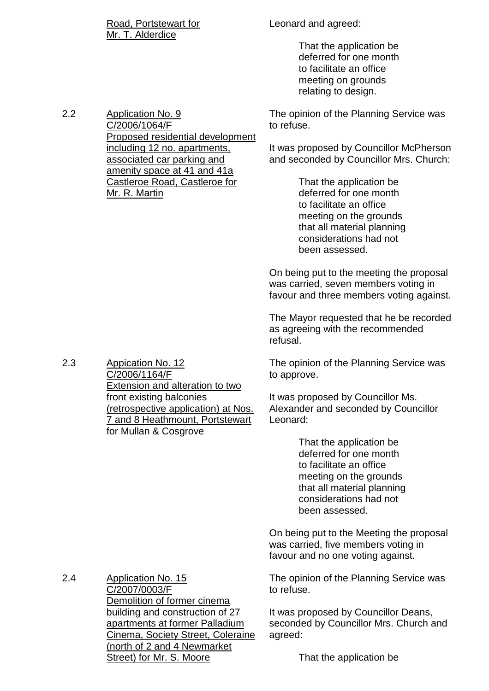Road, Portstewart for Mr. T. Alderdice

2.2 Application No. 9

C/2006/1064/F

Proposed residential development including 12 no. apartments, associated car parking and amenity space at 41 and 41a Castleroe Road, Castleroe for

Leonard and agreed:

That the application be deferred for one month to facilitate an office meeting on grounds relating to design.

The opinion of the Planning Service was to refuse.

It was proposed by Councillor McPherson and seconded by Councillor Mrs. Church:

> That the application be deferred for one month to facilitate an office meeting on the grounds that all material planning considerations had not been assessed.

On being put to the meeting the proposal was carried, seven members voting in favour and three members voting against.

The Mayor requested that he be recorded as agreeing with the recommended refusal.

The opinion of the Planning Service was to approve.

It was proposed by Councillor Ms. Alexander and seconded by Councillor Leonard:

> That the application be deferred for one month to facilitate an office meeting on the grounds that all material planning considerations had not been assessed.

On being put to the Meeting the proposal was carried, five members voting in favour and no one voting against.

The opinion of the Planning Service was to refuse.

It was proposed by Councillor Deans, seconded by Councillor Mrs. Church and agreed:

That the application be

Mr. R. Martin

2.3 Appication No. 12 C/2006/1164/F Extension and alteration to two front existing balconies (retrospective application) at Nos. 7 and 8 Heathmount, Portstewart for Mullan & Cosgrove

2.4 Application No. 15 C/2007/0003/F Demolition of former cinema building and construction of 27 apartments at former Palladium Cinema, Society Street, Coleraine (north of 2 and 4 Newmarket Street) for Mr. S. Moore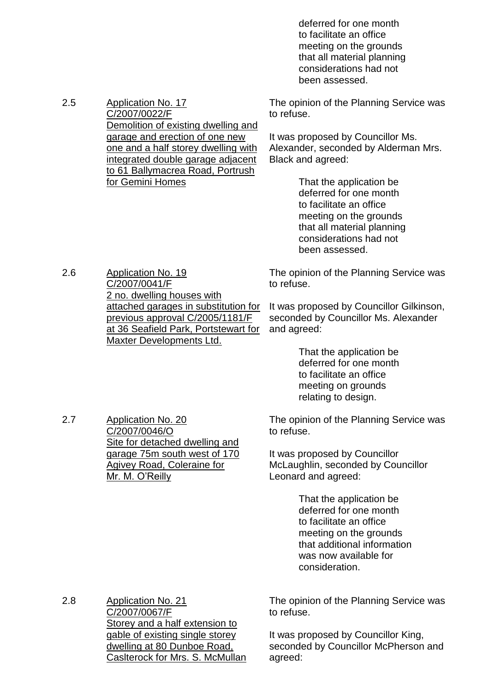deferred for one month to facilitate an office meeting on the grounds that all material planning considerations had not been assessed.

The opinion of the Planning Service was to refuse.

It was proposed by Councillor Ms. Alexander, seconded by Alderman Mrs. Black and agreed:

> That the application be deferred for one month to facilitate an office meeting on the grounds that all material planning considerations had not been assessed.

The opinion of the Planning Service was to refuse.

It was proposed by Councillor Gilkinson, seconded by Councillor Ms. Alexander and agreed:

> That the application be deferred for one month to facilitate an office meeting on grounds relating to design.

The opinion of the Planning Service was to refuse.

It was proposed by Councillor McLaughlin, seconded by Councillor Leonard and agreed:

> That the application be deferred for one month to facilitate an office meeting on the grounds that additional information was now available for consideration.

2.8 Application No. 21 C/2007/0067/F Storey and a half extension to gable of existing single storey dwelling at 80 Dunboe Road, Caslterock for Mrs. S. McMullan The opinion of the Planning Service was to refuse.

It was proposed by Councillor King, seconded by Councillor McPherson and agreed:

2.6 Application No. 19 C/2007/0041/F 2 no. dwelling houses with attached garages in substitution for previous approval C/2005/1181/F at 36 Seafield Park, Portstewart for Maxter Developments Ltd.

2.7 Application No. 20

C/2007/0046/O

Mr. M. O'Reilly

Site for detached dwelling and garage 75m south west of 170 Agivey Road, Coleraine for

2.5 Application No. 17 C/2007/0022/F Demolition of existing dwelling and garage and erection of one new one and a half storey dwelling with integrated double garage adjacent to 61 Ballymacrea Road, Portrush for Gemini Homes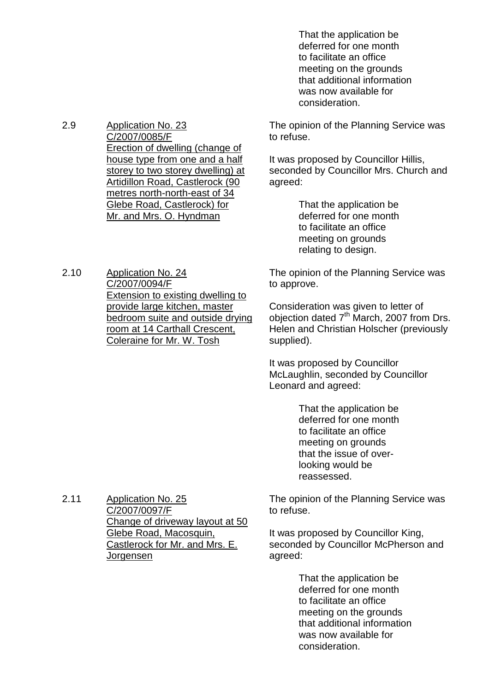That the application be deferred for one month to facilitate an office meeting on the grounds that additional information was now available for consideration.

2.9 Application No. 23 C/2007/0085/F Erection of dwelling (change of house type from one and a half storey to two storey dwelling) at Artidillon Road, Castlerock (90 metres north-north-east of 34 Glebe Road, Castlerock) for Mr. and Mrs. O. Hyndman

2.10 Application No. 24 C/2007/0094/F Extension to existing dwelling to provide large kitchen, master bedroom suite and outside drying room at 14 Carthall Crescent, Coleraine for Mr. W. Tosh

The opinion of the Planning Service was to refuse.

It was proposed by Councillor Hillis, seconded by Councillor Mrs. Church and agreed:

> That the application be deferred for one month to facilitate an office meeting on grounds relating to design.

The opinion of the Planning Service was to approve.

Consideration was given to letter of objection dated  $7<sup>th</sup>$  March, 2007 from Drs. Helen and Christian Holscher (previously supplied).

It was proposed by Councillor McLaughlin, seconded by Councillor Leonard and agreed:

> That the application be deferred for one month to facilitate an office meeting on grounds that the issue of overlooking would be reassessed.

The opinion of the Planning Service was to refuse.

It was proposed by Councillor King, seconded by Councillor McPherson and agreed:

> That the application be deferred for one month to facilitate an office meeting on the grounds that additional information was now available for consideration.

2.11 Application No. 25 C/2007/0097/F Change of driveway layout at 50 Glebe Road, Macosquin, Castlerock for Mr. and Mrs. E. Jorgensen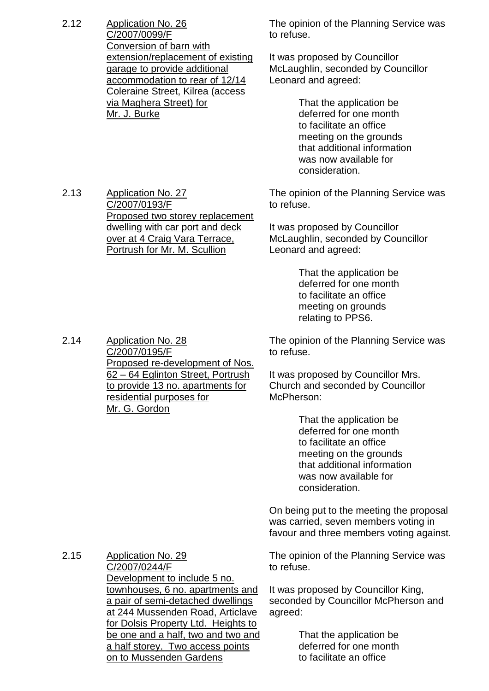2.12 Application No. 26 C/2007/0099/F Conversion of barn with extension/replacement of existing garage to provide additional accommodation to rear of 12/14 Coleraine Street, Kilrea (access via Maghera Street) for Mr. J. Burke

The opinion of the Planning Service was to refuse.

It was proposed by Councillor McLaughlin, seconded by Councillor Leonard and agreed:

> That the application be deferred for one month to facilitate an office meeting on the grounds that additional information was now available for consideration.

The opinion of the Planning Service was to refuse.

It was proposed by Councillor McLaughlin, seconded by Councillor Leonard and agreed:

> That the application be deferred for one month to facilitate an office meeting on grounds relating to PPS6.

The opinion of the Planning Service was to refuse.

It was proposed by Councillor Mrs. Church and seconded by Councillor McPherson:

> That the application be deferred for one month to facilitate an office meeting on the grounds that additional information was now available for consideration.

On being put to the meeting the proposal was carried, seven members voting in favour and three members voting against.

2.15 Application No. 29 C/2007/0244/F Development to include 5 no. townhouses, 6 no. apartments and a pair of semi-detached dwellings at 244 Mussenden Road, Articlave for Dolsis Property Ltd. Heights to be one and a half, two and two and a half storey. Two access points on to Mussenden Gardens

The opinion of the Planning Service was to refuse.

It was proposed by Councillor King, seconded by Councillor McPherson and agreed:

> That the application be deferred for one month to facilitate an office

2.13 Application No. 27 C/2007/0193/F Proposed two storey replacement dwelling with car port and deck over at 4 Craig Vara Terrace, Portrush for Mr. M. Scullion

C/2007/0195/F

Mr. G. Gordon

residential purposes for

Proposed re-development of Nos. 62 –64 Eglinton Street, Portrush to provide 13 no. apartments for

2.14 Application No. 28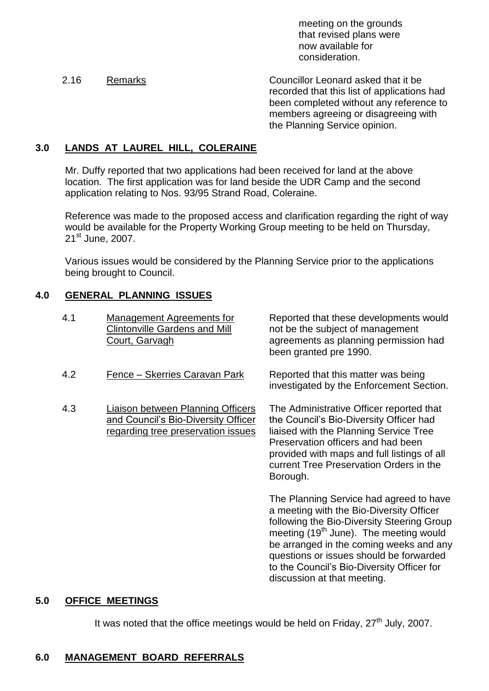meeting on the grounds that revised plans were now available for consideration.

2.16 Remarks Councillor Leonard asked that it be recorded that this list of applications had been completed without any reference to members agreeing or disagreeing with the Planning Service opinion.

# **3.0 LANDS AT LAUREL HILL, COLERAINE**

Mr. Duffy reported that two applications had been received for land at the above location. The first application was for land beside the UDR Camp and the second application relating to Nos. 93/95 Strand Road, Coleraine.

Reference was made to the proposed access and clarification regarding the right of way would be available for the Property Working Group meeting to be held on Thursday, 21<sup>st</sup> June, 2007.

Various issues would be considered by the Planning Service prior to the applications being brought to Council.

### **4.0 GENERAL PLANNING ISSUES**

- 4.1 Management Agreements for Clintonville Gardens and Mill Court, Garvagh
- 4.2 Fence –Skerries Caravan Park Reported that this matter was being
- 4.3 Liaison between Planning Officers and Council's Bio-Diversity Officer regarding tree preservation issues

Reported that these developments would not be the subject of management agreements as planning permission had been granted pre 1990.

investigated by the Enforcement Section.

The Administrative Officer reported that the Council's Bio-Diversity Officer had liaised with the Planning Service Tree Preservation officers and had been provided with maps and full listings of all current Tree Preservation Orders in the Borough.

The Planning Service had agreed to have a meeting with the Bio-Diversity Officer following the Bio-Diversity Steering Group meeting (19<sup>th</sup> June). The meeting would be arranged in the coming weeks and any questions or issues should be forwarded to the Council's Bio-Diversity Officer for discussion at that meeting.

### **5.0 OFFICE MEETINGS**

It was noted that the office meetings would be held on Friday,  $27<sup>th</sup>$  July, 2007.

### **6.0 MANAGEMENT BOARD REFERRALS**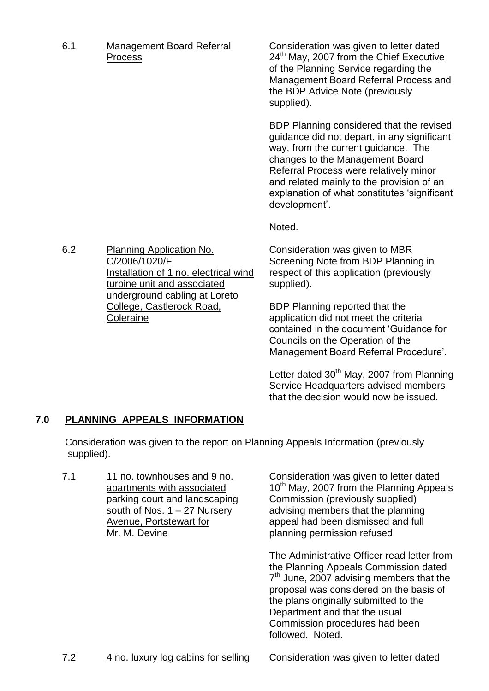6.1 Management Board Referral Process

Consideration was given to letter dated  $24<sup>th</sup>$  May, 2007 from the Chief Executive of the Planning Service regarding the Management Board Referral Process and the BDP Advice Note (previously supplied).

BDP Planning considered that the revised guidance did not depart, in any significant way, from the current guidance. The changes to the Management Board Referral Process were relatively minor and related mainly to the provision of an explanation of what constitutes 'significant development'.

Noted.

Consideration was given to MBR Screening Note from BDP Planning in respect of this application (previously supplied).

BDP Planning reported that the application did not meet the criteria contained in the document 'Guidance for Councils on the Operation of the Management Board Referral Procedure'.

Letter dated  $30<sup>th</sup>$  May, 2007 from Planning Service Headquarters advised members that the decision would now be issued.

# **7.0 PLANNING APPEALS INFORMATION**

Consideration was given to the report on Planning Appeals Information (previously supplied).

7.1 11 no. townhouses and 9 no. apartments with associated parking court and landscaping south of Nos. 1 – 27 Nursery Avenue, Portstewart for Mr. M. Devine

Consideration was given to letter dated 10<sup>th</sup> May, 2007 from the Planning Appeals Commission (previously supplied) advising members that the planning appeal had been dismissed and full planning permission refused.

The Administrative Officer read letter from the Planning Appeals Commission dated  $7<sup>th</sup>$  June, 2007 advising members that the proposal was considered on the basis of the plans originally submitted to the Department and that the usual Commission procedures had been followed. Noted.

6.2 Planning Application No. C/2006/1020/F Installation of 1 no. electrical wind turbine unit and associated underground cabling at Loreto College, Castlerock Road, **Coleraine**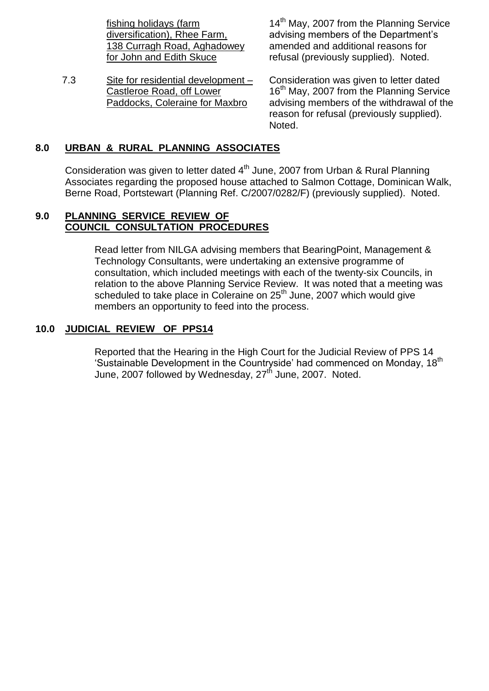fishing holidays (farm diversification), Rhee Farm, 138 Curragh Road, Aghadowey for John and Edith Skuce

7.3 Site for residential development – Castleroe Road, off Lower Paddocks, Coleraine for Maxbro

14<sup>th</sup> May, 2007 from the Planning Service advising members of the Department's amended and additional reasons for refusal (previously supplied). Noted.

Consideration was given to letter dated 16<sup>th</sup> May, 2007 from the Planning Service advising members of the withdrawal of the reason for refusal (previously supplied). Noted.

# **8.0 URBAN & RURAL PLANNING ASSOCIATES**

Consideration was given to letter dated  $4<sup>th</sup>$  June, 2007 from Urban & Rural Planning Associates regarding the proposed house attached to Salmon Cottage, Dominican Walk, Berne Road, Portstewart (Planning Ref. C/2007/0282/F) (previously supplied). Noted.

#### **9.0 PLANNING SERVICE REVIEW OF COUNCIL CONSULTATION PROCEDURES**

Read letter from NILGA advising members that BearingPoint, Management & Technology Consultants, were undertaking an extensive programme of consultation, which included meetings with each of the twenty-six Councils, in relation to the above Planning Service Review. It was noted that a meeting was scheduled to take place in Coleraine on 25<sup>th</sup> June, 2007 which would give members an opportunity to feed into the process.

### **10.0 JUDICIAL REVIEW OF PPS14**

Reported that the Hearing in the High Court for the Judicial Review of PPS 14 'Sustainable Development in the Countryside' had commenced on Monday, 18<sup>th</sup> June, 2007 followed by Wednesday, 27<sup>th</sup> June, 2007. Noted.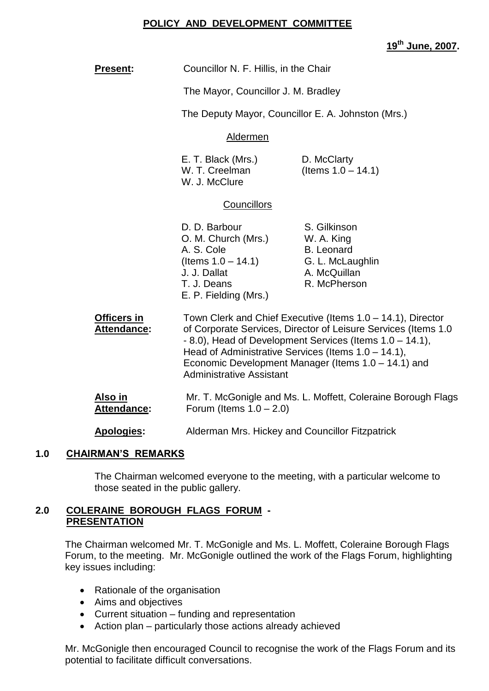#### **POLICY AND DEVELOPMENT COMMITTEE**

**19th June, 2007.**

| <b>Present:</b>                   | Councillor N. F. Hillis, in the Chair                                                                                                                                                                                                                                                                                                              |                                                    |  |
|-----------------------------------|----------------------------------------------------------------------------------------------------------------------------------------------------------------------------------------------------------------------------------------------------------------------------------------------------------------------------------------------------|----------------------------------------------------|--|
|                                   | The Mayor, Councillor J. M. Bradley                                                                                                                                                                                                                                                                                                                |                                                    |  |
|                                   |                                                                                                                                                                                                                                                                                                                                                    | The Deputy Mayor, Councillor E. A. Johnston (Mrs.) |  |
|                                   | Aldermen                                                                                                                                                                                                                                                                                                                                           |                                                    |  |
|                                   | E. T. Black (Mrs.)<br>D. McClarty<br>(Items $1.0 - 14.1$ )<br>W. T. Creelman<br>W. J. McClure                                                                                                                                                                                                                                                      |                                                    |  |
|                                   | <b>Councillors</b>                                                                                                                                                                                                                                                                                                                                 |                                                    |  |
|                                   | D. D. Barbour<br>S. Gilkinson<br>O. M. Church (Mrs.)<br>W. A. King<br>A. S. Cole<br><b>B.</b> Leonard<br>(Items $1.0 - 14.1$ )<br>G. L. McLaughlin<br>J. J. Dallat<br>A. McQuillan<br>R. McPherson<br>T. J. Deans<br>E. P. Fielding (Mrs.)                                                                                                         |                                                    |  |
| Officers in<br><b>Attendance:</b> | Town Clerk and Chief Executive (Items $1.0 - 14.1$ ), Director<br>of Corporate Services, Director of Leisure Services (Items 1.0<br>$-8.0$ ), Head of Development Services (Items $1.0 - 14.1$ ),<br>Head of Administrative Services (Items 1.0 - 14.1),<br>Economic Development Manager (Items 1.0 - 14.1) and<br><b>Administrative Assistant</b> |                                                    |  |
| <u>Also in</u><br>Attendance:     | Mr. T. McGonigle and Ms. L. Moffett, Coleraine Borough Flags<br>Forum (Items $1.0 - 2.0$ )                                                                                                                                                                                                                                                         |                                                    |  |
| Apologies:                        | Alderman Mrs. Hickey and Councillor Fitzpatrick                                                                                                                                                                                                                                                                                                    |                                                    |  |

### **1.0 CHAIRMAN'S REMARKS**

The Chairman welcomed everyone to the meeting, with a particular welcome to those seated in the public gallery.

# **2.0 COLERAINE BOROUGH FLAGS FORUM - PRESENTATION**

The Chairman welcomed Mr. T. McGonigle and Ms. L. Moffett, Coleraine Borough Flags Forum, to the meeting. Mr. McGonigle outlined the work of the Flags Forum, highlighting key issues including:

- Rationale of the organisation
- Aims and objectives
- Current situation funding and representation
- $\bullet$  Action plan particularly those actions already achieved

Mr. McGonigle then encouraged Council to recognise the work of the Flags Forum and its potential to facilitate difficult conversations.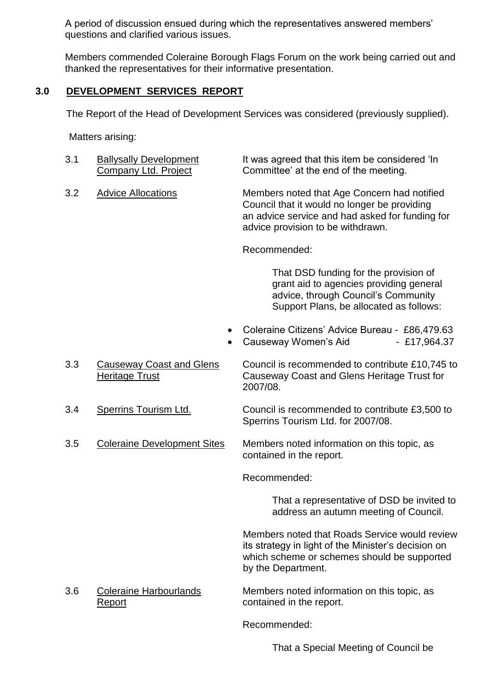A period of discussion ensued during which the representatives answered members' questions and clarified various issues.

Members commended Coleraine Borough Flags Forum on the work being carried out and thanked the representatives for their informative presentation.

# **3.0 DEVELOPMENT SERVICES REPORT**

The Report of the Head of Development Services was considered (previously supplied).

Matters arising:

| 3.1 | <b>Ballysally Development</b><br><b>Company Ltd. Project</b> | It was agreed that this item be considered 'In<br>Committee' at the end of the meeting.                                                                                             |
|-----|--------------------------------------------------------------|-------------------------------------------------------------------------------------------------------------------------------------------------------------------------------------|
| 3.2 | <b>Advice Allocations</b>                                    | Members noted that Age Concern had notified<br>Council that it would no longer be providing<br>an advice service and had asked for funding for<br>advice provision to be withdrawn. |
|     |                                                              | Recommended:                                                                                                                                                                        |
|     |                                                              | That DSD funding for the provision of<br>grant aid to agencies providing general<br>advice, through Council's Community<br>Support Plans, be allocated as follows:                  |
|     |                                                              | Coleraine Citizens' Advice Bureau - £86,479.63<br>Causeway Women's Aid<br>$-$ £17,964.37                                                                                            |
| 3.3 | <b>Causeway Coast and Glens</b><br><b>Heritage Trust</b>     | Council is recommended to contribute £10,745 to<br>Causeway Coast and Glens Heritage Trust for<br>2007/08.                                                                          |
| 3.4 | <b>Sperrins Tourism Ltd.</b>                                 | Council is recommended to contribute £3,500 to<br>Sperrins Tourism Ltd. for 2007/08.                                                                                                |
| 3.5 | <b>Coleraine Development Sites</b>                           | Members noted information on this topic, as<br>contained in the report.                                                                                                             |
|     |                                                              | Recommended:                                                                                                                                                                        |
|     |                                                              | That a representative of DSD be invited to<br>address an autumn meeting of Council.                                                                                                 |
|     |                                                              | Members noted that Roads Service would review<br>its strategy in light of the Minister's decision on<br>which scheme or schemes should be supported<br>by the Department.           |
| 3.6 | <b>Coleraine Harbourlands</b><br>Report                      | Members noted information on this topic, as<br>contained in the report.                                                                                                             |

Recommended:

That a Special Meeting of Council be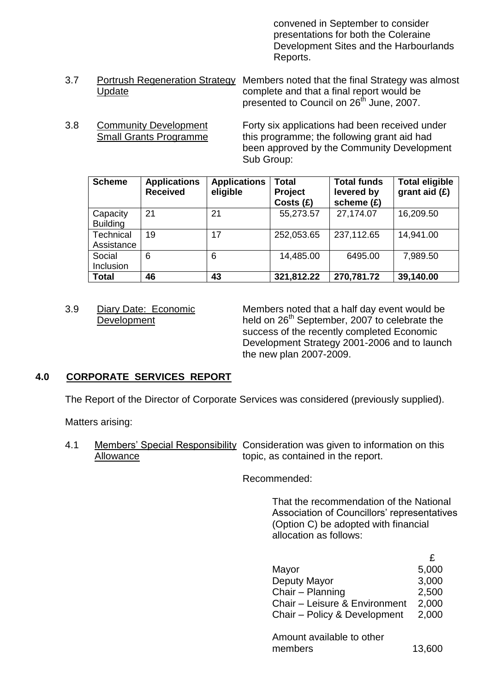convened in September to consider presentations for both the Coleraine Development Sites and the Harbourlands Reports.

- 3.7 Portrush Regeneration Strategy Members noted that the final Strategy was almost Update complete and that a final report would be presented to Council on 26<sup>th</sup> June, 2007.
- 3.8 Community Development Forty six applications had been received under Small Grants Programme this programme; the following grant aid had been approved by the Community Development Sub Group:

| <b>Scheme</b>               | <b>Applications</b><br><b>Received</b> | <b>Applications</b><br>eligible | <b>Total</b><br>Project<br>Costs(E) | <b>Total funds</b><br>levered by<br>scheme (£) | <b>Total eligible</b><br>grant aid $(E)$ |
|-----------------------------|----------------------------------------|---------------------------------|-------------------------------------|------------------------------------------------|------------------------------------------|
| Capacity<br><b>Building</b> | 21                                     | 21                              | 55,273.57                           | 27,174.07                                      | 16,209.50                                |
| Technical<br>Assistance     | 19                                     | 17                              | 252,053.65                          | 237,112.65                                     | 14,941.00                                |
| Social<br>Inclusion         | 6                                      | 6                               | 14,485.00                           | 6495.00                                        | 7,989.50                                 |
| <b>Total</b>                | 46                                     | 43                              | 321,812.22                          | 270,781.72                                     | 39,140.00                                |

3.9 Diary Date: Economic Members noted that a half day event would be Development held on  $26<sup>th</sup>$  September, 2007 to celebrate the success of the recently completed Economic Development Strategy 2001-2006 and to launch the new plan 2007-2009.

# **4.0 CORPORATE SERVICES REPORT**

The Report of the Director of Corporate Services was considered (previously supplied).

Matters arising:

4.1 Members' Special Responsibility Consideration was given to information on this Allowance topic, as contained in the report.

Recommended:

That the recommendation of the National Association of Councillors' representatives (Option C) be adopted with financial allocation as follows:

|                                               | £     |
|-----------------------------------------------|-------|
| Mayor                                         | 5,000 |
| Deputy Mayor                                  | 3,000 |
| Chair - Planning                              | 2,500 |
| Chair - Leisure & Environment                 | 2,000 |
| Chair - Policy & Development                  | 2,000 |
| مستحيله والمستحل والمستنقص المستنفر والمستحدث |       |

| Amount available to other |        |
|---------------------------|--------|
| members                   | 13,600 |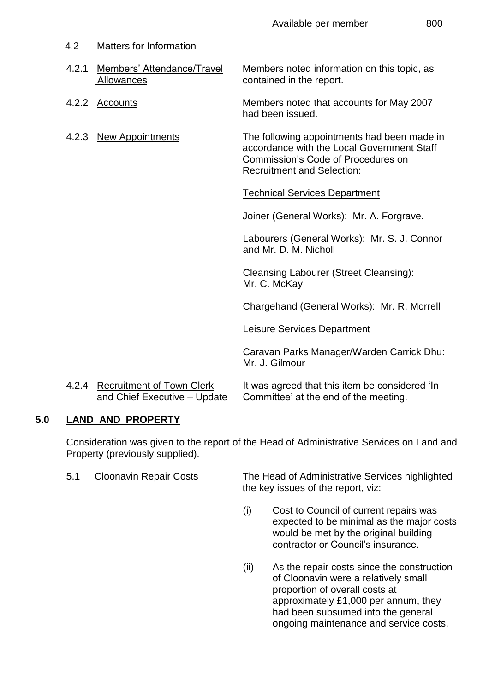|  |  | 80 |
|--|--|----|
|  |  |    |

| 4.2   | <b>Matters for Information</b>           |                                                                                                                                                                      |
|-------|------------------------------------------|----------------------------------------------------------------------------------------------------------------------------------------------------------------------|
| 4.2.1 | Members' Attendance/Travel<br>Allowances | Members noted information on this topic, as<br>contained in the report.                                                                                              |
|       | 4.2.2 Accounts                           | Members noted that accounts for May 2007<br>had been issued.                                                                                                         |
|       | 4.2.3 New Appointments                   | The following appointments had been made in<br>accordance with the Local Government Staff<br>Commission's Code of Procedures on<br><b>Recruitment and Selection:</b> |
|       |                                          | <b>Technical Services Department</b>                                                                                                                                 |
|       |                                          | Joiner (General Works): Mr. A. Forgrave.                                                                                                                             |
|       |                                          | Labourers (General Works): Mr. S. J. Connor<br>and Mr. D. M. Nicholl                                                                                                 |
|       |                                          | <b>Cleansing Labourer (Street Cleansing):</b><br>Mr. C. McKay                                                                                                        |
|       |                                          | Chargehand (General Works): Mr. R. Morrell                                                                                                                           |
|       |                                          | <b>Leisure Services Department</b>                                                                                                                                   |
|       |                                          | Caravan Parks Manager/Warden Carrick Dhu:<br>Mr. J. Gilmour                                                                                                          |
|       | 1.2.1 Recruitment of Town Clerk          | It was agreed that this item he considered 'In                                                                                                                       |

4.2.4 <u>Recruitment of Town Clerk</u> It was agreed that this item be considered 'In and Chief Executive – Update Committee' at the end of the meeting.

# **5.0 LAND AND PROPERTY**

Consideration was given to the report of the Head of Administrative Services on Land and Property (previously supplied).

5.1 Cloonavin Repair Costs The Head of Administrative Services highlighted the key issues of the report, viz:

- (i) Cost to Council of current repairs was expected to be minimal as the major costs would be met by the original building contractor or Council's insurance
- (ii) As the repair costs since the construction of Cloonavin were a relatively small proportion of overall costs at approximately £1,000 per annum, they had been subsumed into the general ongoing maintenance and service costs.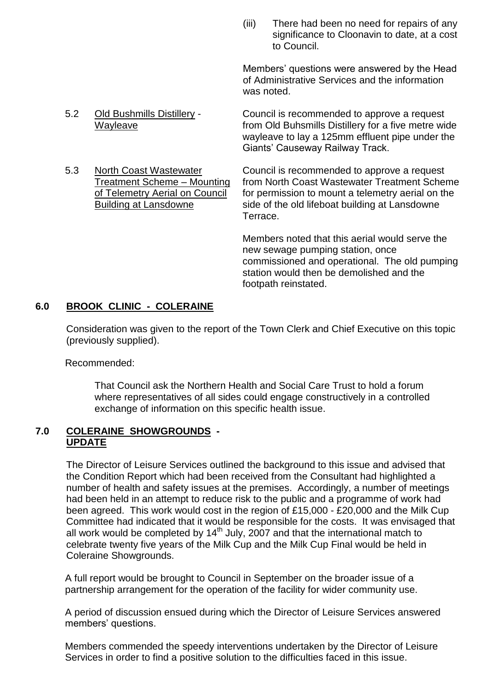(iii) There had been no need for repairs of any significance to Cloonavin to date, at a cost to Council.

Members' questions were answered by the Head of Administrative Services and the information was noted.

5.2 Old Bushmills Distillery - Council is recommended to approve a request Wayleave from Old Buhsmills Distillery for a five metre wide wayleave to lay a 125mm effluent pipe under the Giants' Causeway Railway Track.

5.3 North Coast Wastewater Council is recommended to approve a request Treatment Scheme – Mounting from North Coast Wastewater Treatment Scheme of Telemetry Aerial on Council for permission to mount a telemetry aerial on the Building at Lansdowne side of the old lifeboat building at Lansdowne

Terrace.

Members noted that this aerial would serve the new sewage pumping station, once commissioned and operational. The old pumping station would then be demolished and the footpath reinstated.

# **6.0 BROOK CLINIC - COLERAINE**

Consideration was given to the report of the Town Clerk and Chief Executive on this topic (previously supplied).

Recommended:

That Council ask the Northern Health and Social Care Trust to hold a forum where representatives of all sides could engage constructively in a controlled exchange of information on this specific health issue.

# **7.0 COLERAINE SHOWGROUNDS - UPDATE**

The Director of Leisure Services outlined the background to this issue and advised that the Condition Report which had been received from the Consultant had highlighted a number of health and safety issues at the premises. Accordingly, a number of meetings had been held in an attempt to reduce risk to the public and a programme of work had been agreed. This work would cost in the region of £15,000 - £20,000 and the Milk Cup Committee had indicated that it would be responsible for the costs. It was envisaged that all work would be completed by  $14<sup>th</sup>$  July, 2007 and that the international match to celebrate twenty five years of the Milk Cup and the Milk Cup Final would be held in Coleraine Showgrounds.

A full report would be brought to Council in September on the broader issue of a partnership arrangement for the operation of the facility for wider community use.

A period of discussion ensued during which the Director of Leisure Services answered members' questions.

Members commended the speedy interventions undertaken by the Director of Leisure Services in order to find a positive solution to the difficulties faced in this issue.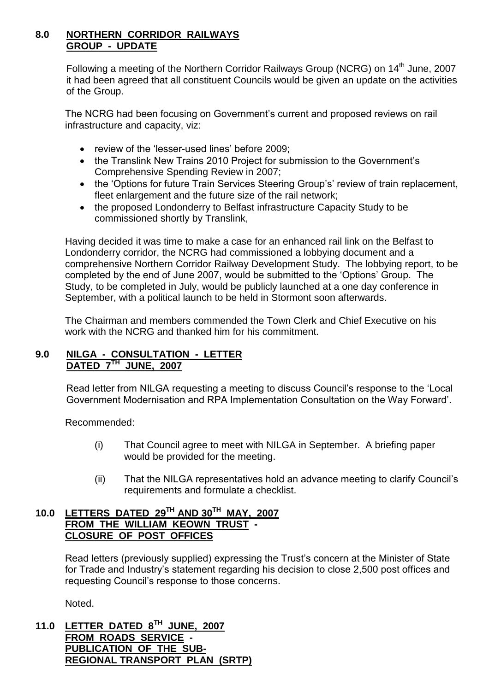## **8.0 NORTHERN CORRIDOR RAILWAYS GROUP - UPDATE**

Following a meeting of the Northern Corridor Railways Group (NCRG) on 14<sup>th</sup> June. 2007 it had been agreed that all constituent Councils would be given an update on the activities of the Group.

The NCRG had been focusing on Government's current and proposed reviews on rail infrastructure and capacity, viz:

- review of the 'lesser-used lines' before 2009:
- the Translink New Trains 2010 Project for submission to the Government's Comprehensive Spending Review in 2007;
- the 'Options for future Train Services Steering Group's' review of train replacement, fleet enlargement and the future size of the rail network;
- the proposed Londonderry to Belfast infrastructure Capacity Study to be commissioned shortly by Translink,

Having decided it was time to make a case for an enhanced rail link on the Belfast to Londonderry corridor, the NCRG had commissioned a lobbying document and a comprehensive Northern Corridor Railway Development Study. The lobbying report, to be completed by the end of June 2007, would be submitted to the 'Options' Group. The Study, to be completed in July, would be publicly launched at a one day conference in September, with a political launch to be held in Stormont soon afterwards.

The Chairman and members commended the Town Clerk and Chief Executive on his work with the NCRG and thanked him for his commitment.

# **9.0 NILGA - CONSULTATION - LETTER DATED 7TH JUNE, 2007**

Read letter from NILGA requesting a meeting to discuss Council's response to the 'Local Government Modernisation and RPA Implementation Consultation on the Way Forward'.

Recommended:

- (i) That Council agree to meet with NILGA in September. A briefing paper would be provided for the meeting.
- (ii) That the NILGA representatives hold an advance meeting to clarify Council's requirements and formulate a checklist.

# **10.0 LETTERS DATED 29TH AND 30TH MAY, 2007 FROM THE WILLIAM KEOWN TRUST - CLOSURE OF POST OFFICES**

Read letters (previously supplied) expressing the Trust's concern at the Minister of State for Trade and Industry's statement regarding his decision to close 2,500 post offices and requesting Council's response to those concerns.

Noted.

**11.0 LETTER DATED 8TH JUNE, 2007 FROM ROADS SERVICE - PUBLICATION OF THE SUB-REGIONAL TRANSPORT PLAN (SRTP)**